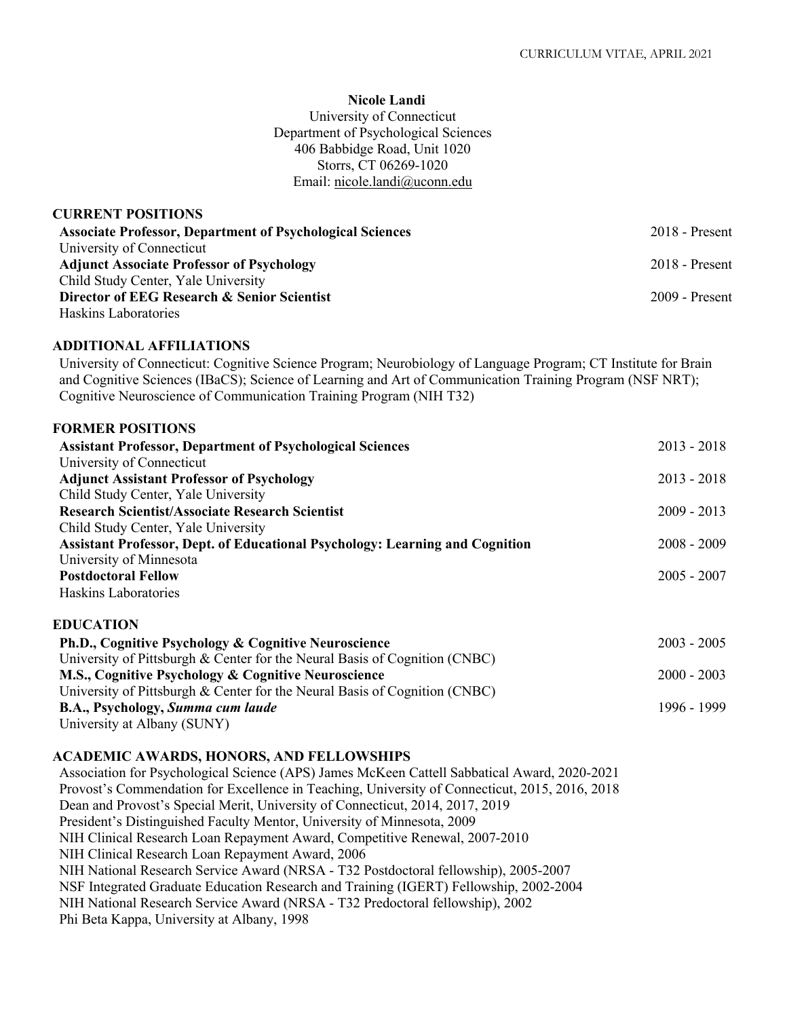1996 - 1999

#### **Nicole Landi**

University of Connecticut Department of Psychological Sciences 406 Babbidge Road, Unit 1020 Storrs, CT 06269-1020 Email: nicole.landi@uconn.edu

| <b>CURRENT POSITIONS</b>                                         |                  |
|------------------------------------------------------------------|------------------|
| <b>Associate Professor, Department of Psychological Sciences</b> | $2018$ - Present |
| University of Connecticut                                        |                  |
| <b>Adjunct Associate Professor of Psychology</b>                 | $2018$ - Present |
| Child Study Center, Yale University                              |                  |
| Director of EEG Research & Senior Scientist                      | $2009$ - Present |
| Haskins Laboratories                                             |                  |

#### **ADDITIONAL AFFILIATIONS**

University of Connecticut: Cognitive Science Program; Neurobiology of Language Program; CT Institute for Brain and Cognitive Sciences (IBaCS); Science of Learning and Art of Communication Training Program (NSF NRT); Cognitive Neuroscience of Communication Training Program (NIH T32)

## **FORMER POSITIONS**

| <b>Assistant Professor, Department of Psychological Sciences</b>                    | $2013 - 2018$ |
|-------------------------------------------------------------------------------------|---------------|
| University of Connecticut                                                           |               |
| <b>Adjunct Assistant Professor of Psychology</b>                                    | $2013 - 2018$ |
| Child Study Center, Yale University                                                 |               |
| <b>Research Scientist/Associate Research Scientist</b>                              | $2009 - 2013$ |
| Child Study Center, Yale University                                                 |               |
| <b>Assistant Professor, Dept. of Educational Psychology: Learning and Cognition</b> | $2008 - 2009$ |
| University of Minnesota                                                             |               |
| <b>Postdoctoral Fellow</b>                                                          | $2005 - 2007$ |
| Haskins Laboratories                                                                |               |
| <b>EDUCATION</b>                                                                    |               |
| Ph.D., Cognitive Psychology & Cognitive Neuroscience                                | $2003 - 2005$ |
| University of Pittsburgh & Center for the Neural Basis of Cognition (CNBC)          |               |
| M.S., Cognitive Psychology & Cognitive Neuroscience                                 | $2000 - 2003$ |
| University of Pittsburgh & Center for the Neural Basis of Cognition (CNBC)          |               |

#### **ACADEMIC AWARDS, HONORS, AND FELLOWSHIPS**

**B.A., Psychology,** *Summa cum laude*

University at Albany (SUNY)

Association for Psychological Science (APS) James McKeen Cattell Sabbatical Award, 2020-2021 Provost's Commendation for Excellence in Teaching, University of Connecticut, 2015, 2016, 2018 Dean and Provost's Special Merit, University of Connecticut, 2014, 2017, 2019 President's Distinguished Faculty Mentor, University of Minnesota, 2009 NIH Clinical Research Loan Repayment Award, Competitive Renewal, 2007-2010 NIH Clinical Research Loan Repayment Award, 2006 NIH National Research Service Award (NRSA - T32 Postdoctoral fellowship), 2005-2007 NSF Integrated Graduate Education Research and Training (IGERT) Fellowship, 2002-2004 NIH National Research Service Award (NRSA - T32 Predoctoral fellowship), 2002 Phi Beta Kappa, University at Albany, 1998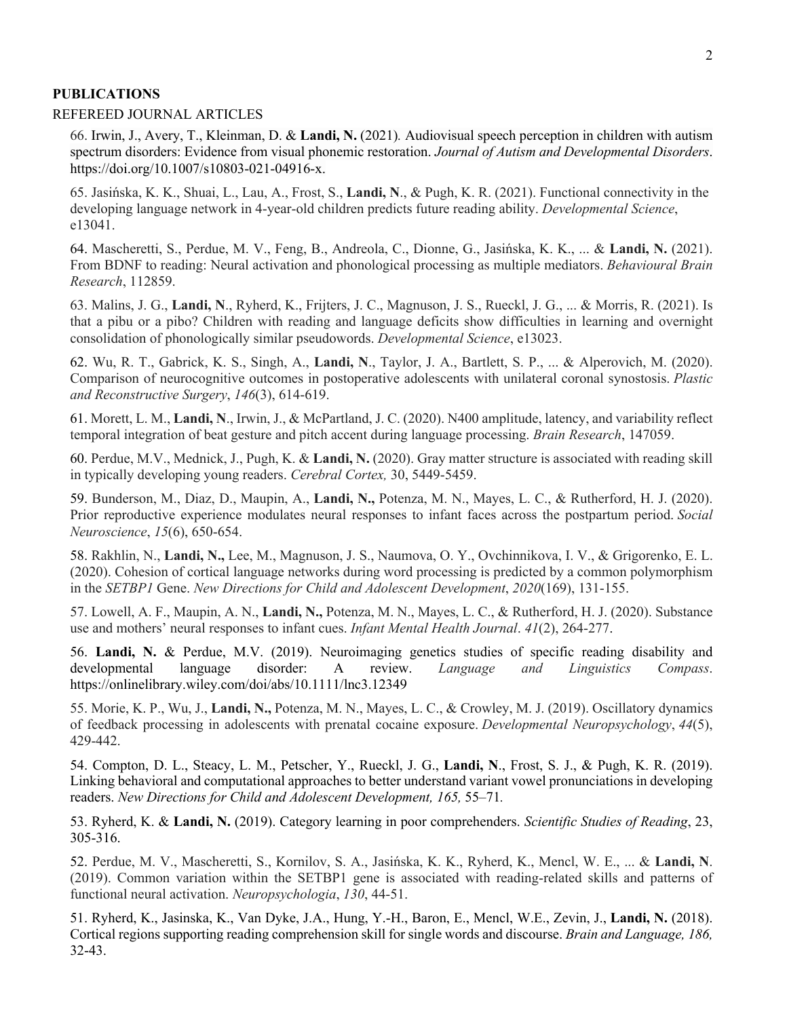#### **PUBLICATIONS**

#### REFEREED JOURNAL ARTICLES

66. Irwin, J., Avery, T., Kleinman, D. & **Landi, N.** (2021)*.* Audiovisual speech perception in children with autism spectrum disorders: Evidence from visual phonemic restoration. *Journal of Autism and Developmental Disorders*. https://doi.org/10.1007/s10803-021-04916-x.

65. Jasińska, K. K., Shuai, L., Lau, A., Frost, S., **Landi, N**., & Pugh, K. R. (2021). Functional connectivity in the developing language network in 4‐year‐old children predicts future reading ability. *Developmental Science*, e13041.

64. Mascheretti, S., Perdue, M. V., Feng, B., Andreola, C., Dionne, G., Jasińska, K. K., ... & **Landi, N.** (2021). From BDNF to reading: Neural activation and phonological processing as multiple mediators. *Behavioural Brain Research*, 112859.

63. Malins, J. G., **Landi, N**., Ryherd, K., Frijters, J. C., Magnuson, J. S., Rueckl, J. G., ... & Morris, R. (2021). Is that a pibu or a pibo? Children with reading and language deficits show difficulties in learning and overnight consolidation of phonologically similar pseudowords. *Developmental Science*, e13023.

62. Wu, R. T., Gabrick, K. S., Singh, A., **Landi, N**., Taylor, J. A., Bartlett, S. P., ... & Alperovich, M. (2020). Comparison of neurocognitive outcomes in postoperative adolescents with unilateral coronal synostosis. *Plastic and Reconstructive Surgery*, *146*(3), 614-619.

61. Morett, L. M., **Landi, N**., Irwin, J., & McPartland, J. C. (2020). N400 amplitude, latency, and variability reflect temporal integration of beat gesture and pitch accent during language processing. *Brain Research*, 147059.

60. Perdue, M.V., Mednick, J., Pugh, K. & **Landi, N.** (2020). Gray matter structure is associated with reading skill in typically developing young readers. *Cerebral Cortex,* 30, 5449-5459.

59. Bunderson, M., Diaz, D., Maupin, A., **Landi, N.,** Potenza, M. N., Mayes, L. C., & Rutherford, H. J. (2020). Prior reproductive experience modulates neural responses to infant faces across the postpartum period. *Social Neuroscience*, *15*(6), 650-654.

58. Rakhlin, N., **Landi, N.,** Lee, M., Magnuson, J. S., Naumova, O. Y., Ovchinnikova, I. V., & Grigorenko, E. L. (2020). Cohesion of cortical language networks during word processing is predicted by a common polymorphism in the *SETBP1* Gene. *New Directions for Child and Adolescent Development*, *2020*(169), 131-155.

57. Lowell, A. F., Maupin, A. N., **Landi, N.,** Potenza, M. N., Mayes, L. C., & Rutherford, H. J. (2020). Substance use and mothers' neural responses to infant cues. *Infant Mental Health Journal*. *41*(2), 264-277.

56. **Landi, N.** & Perdue, M.V. (2019). Neuroimaging genetics studies of specific reading disability and developmental language disorder: A review. *Language and Linguistics Compass*. https://onlinelibrary.wiley.com/doi/abs/10.1111/lnc3.12349

55. Morie, K. P., Wu, J., **Landi, N.,** Potenza, M. N., Mayes, L. C., & Crowley, M. J. (2019). Oscillatory dynamics of feedback processing in adolescents with prenatal cocaine exposure. *Developmental Neuropsychology*, *44*(5), 429-442.

54. Compton, D. L., Steacy, L. M., Petscher, Y., Rueckl, J. G., **Landi, N**., Frost, S. J., & Pugh, K. R. (2019). Linking behavioral and computational approaches to better understand variant vowel pronunciations in developing readers. *New Directions for Child and Adolescent Development, 165,* 55–71*.*

53. Ryherd, K. & **Landi, N.** (2019). Category learning in poor comprehenders. *Scientific Studies of Reading*, 23, 305-316.

52. Perdue, M. V., Mascheretti, S., Kornilov, S. A., Jasińska, K. K., Ryherd, K., Mencl, W. E., ... & **Landi, N**. (2019). Common variation within the SETBP1 gene is associated with reading-related skills and patterns of functional neural activation. *Neuropsychologia*, *130*, 44-51.

51. Ryherd, K., Jasinska, K., Van Dyke, J.A., Hung, Y.-H., Baron, E., Mencl, W.E., Zevin, J., **Landi, N.** (2018). Cortical regions supporting reading comprehension skill for single words and discourse. *Brain and Language, 186,* 32-43.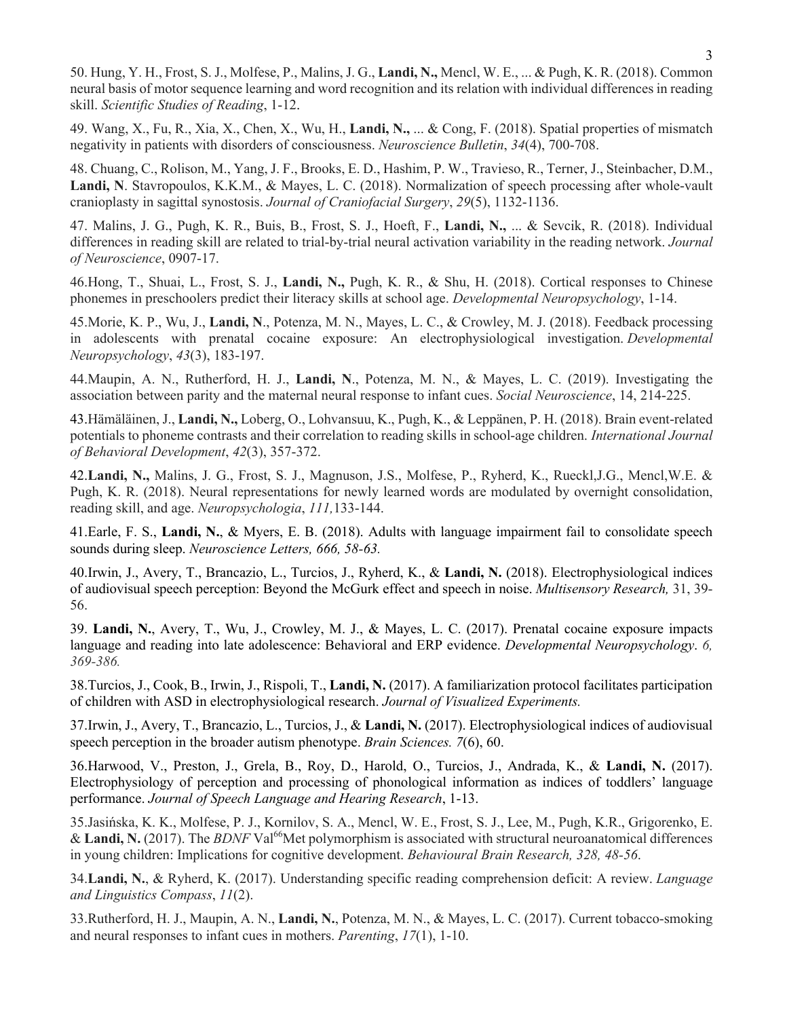50. Hung, Y. H., Frost, S. J., Molfese, P., Malins, J. G., **Landi, N.,** Mencl, W. E., ... & Pugh, K. R. (2018). Common neural basis of motor sequence learning and word recognition and its relation with individual differences in reading skill. *Scientific Studies of Reading*, 1-12.

49. Wang, X., Fu, R., Xia, X., Chen, X., Wu, H., **Landi, N.,** ... & Cong, F. (2018). Spatial properties of mismatch negativity in patients with disorders of consciousness. *Neuroscience Bulletin*, *34*(4), 700-708.

48. Chuang, C., Rolison, M., Yang, J. F., Brooks, E. D., Hashim, P. W., Travieso, R., Terner, J., Steinbacher, D.M., **Landi, N**. Stavropoulos, K.K.M., & Mayes, L. C. (2018). Normalization of speech processing after whole-vault cranioplasty in sagittal synostosis. *Journal of Craniofacial Surgery*, *29*(5), 1132-1136.

47. Malins, J. G., Pugh, K. R., Buis, B., Frost, S. J., Hoeft, F., **Landi, N.,** ... & Sevcik, R. (2018). Individual differences in reading skill are related to trial-by-trial neural activation variability in the reading network. *Journal of Neuroscience*, 0907-17.

46.Hong, T., Shuai, L., Frost, S. J., **Landi, N.,** Pugh, K. R., & Shu, H. (2018). Cortical responses to Chinese phonemes in preschoolers predict their literacy skills at school age. *Developmental Neuropsychology*, 1-14.

45.Morie, K. P., Wu, J., **Landi, N**., Potenza, M. N., Mayes, L. C., & Crowley, M. J. (2018). Feedback processing in adolescents with prenatal cocaine exposure: An electrophysiological investigation. *Developmental Neuropsychology*, *43*(3), 183-197.

44.Maupin, A. N., Rutherford, H. J., **Landi, N**., Potenza, M. N., & Mayes, L. C. (2019). Investigating the association between parity and the maternal neural response to infant cues. *Social Neuroscience*, 14, 214-225.

43.Hämäläinen, J., **Landi, N.,** Loberg, O., Lohvansuu, K., Pugh, K., & Leppänen, P. H. (2018). Brain event-related potentials to phoneme contrasts and their correlation to reading skills in school-age children. *International Journal of Behavioral Development*, *42*(3), 357-372.

42.**Landi, N.,** Malins, J. G., Frost, S. J., Magnuson, J.S., Molfese, P., Ryherd, K., Rueckl,J.G., Mencl,W.E. & Pugh, K. R. (2018). Neural representations for newly learned words are modulated by overnight consolidation, reading skill, and age. *Neuropsychologia*, *111,*133-144.

41.Earle, F. S., **Landi, N.**, & Myers, E. B. (2018). Adults with language impairment fail to consolidate speech sounds during sleep. *Neuroscience Letters, 666, 58-63.*

40.Irwin, J., Avery, T., Brancazio, L., Turcios, J., Ryherd, K., & **Landi, N.** (2018). Electrophysiological indices of audiovisual speech perception: Beyond the McGurk effect and speech in noise. *Multisensory Research,* 31, 39- 56.

39. **Landi, N.**, Avery, T., Wu, J., Crowley, M. J., & Mayes, L. C. (2017). Prenatal cocaine exposure impacts language and reading into late adolescence: Behavioral and ERP evidence. *Developmental Neuropsychology*. *6, 369-386.*

38.Turcios, J., Cook, B., Irwin, J., Rispoli, T., **Landi, N.** (2017). A familiarization protocol facilitates participation of children with ASD in electrophysiological research. *Journal of Visualized Experiments.* 

37.Irwin, J., Avery, T., Brancazio, L., Turcios, J., & **Landi, N.** (2017). Electrophysiological indices of audiovisual speech perception in the broader autism phenotype. *Brain Sciences. 7*(6), 60.

36.Harwood, V., Preston, J., Grela, B., Roy, D., Harold, O., Turcios, J., Andrada, K., & **Landi, N.** (2017). Electrophysiology of perception and processing of phonological information as indices of toddlers' language performance. *Journal of Speech Language and Hearing Research*, 1-13.

35.Jasińska, K. K., Molfese, P. J., Kornilov, S. A., Mencl, W. E., Frost, S. J., Lee, M., Pugh, K.R., Grigorenko, E. & **Landi, N.** (2017). The *BDNF* Val<sup>66</sup>Met polymorphism is associated with structural neuroanatomical differences in young children: Implications for cognitive development. *Behavioural Brain Research, 328, 48-56*.

34.**Landi, N.**, & Ryherd, K. (2017). Understanding specific reading comprehension deficit: A review. *Language and Linguistics Compass*, *11*(2).

33.Rutherford, H. J., Maupin, A. N., **Landi, N.**, Potenza, M. N., & Mayes, L. C. (2017). Current tobacco-smoking and neural responses to infant cues in mothers. *Parenting*, *17*(1), 1-10.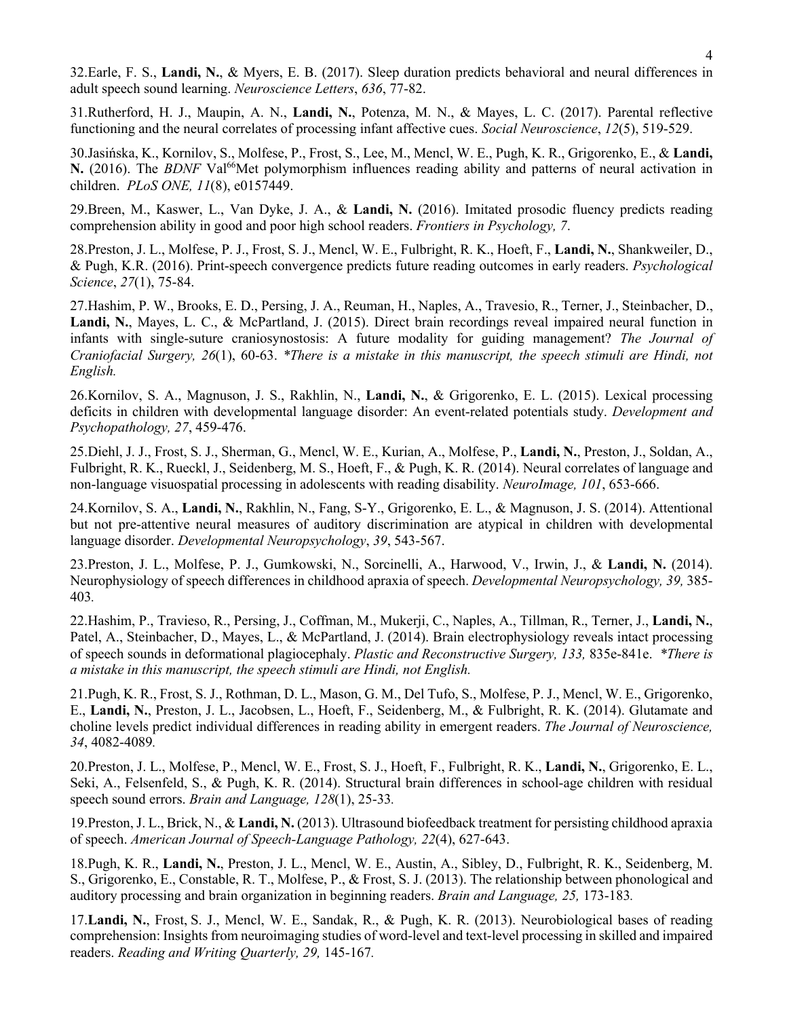32.Earle, F. S., **Landi, N.**, & Myers, E. B. (2017). Sleep duration predicts behavioral and neural differences in adult speech sound learning. *Neuroscience Letters*, *636*, 77-82.

31.Rutherford, H. J., Maupin, A. N., **Landi, N.**, Potenza, M. N., & Mayes, L. C. (2017). Parental reflective functioning and the neural correlates of processing infant affective cues. *Social Neuroscience*, *12*(5), 519-529.

30.Jasińska, K., Kornilov, S., Molfese, P., Frost, S., Lee, M., Mencl, W. E., Pugh, K. R., Grigorenko, E., & **Landi, N.** (2016). The *BDNF* Val<sup>66</sup>Met polymorphism influences reading ability and patterns of neural activation in children. *PLoS ONE, 11*(8), e0157449.

29.Breen, M., Kaswer, L., Van Dyke, J. A., & **Landi, N.** (2016). Imitated prosodic fluency predicts reading comprehension ability in good and poor high school readers. *Frontiers in Psychology, 7*.

28.Preston, J. L., Molfese, P. J., Frost, S. J., Mencl, W. E., Fulbright, R. K., Hoeft, F., **Landi, N.**, Shankweiler, D., & Pugh, K.R. (2016). Print-speech convergence predicts future reading outcomes in early readers. *Psychological Science*, *27*(1), 75-84.

27.Hashim, P. W., Brooks, E. D., Persing, J. A., Reuman, H., Naples, A., Travesio, R., Terner, J., Steinbacher, D., **Landi, N.**, Mayes, L. C., & McPartland, J. (2015). Direct brain recordings reveal impaired neural function in infants with single-suture craniosynostosis: A future modality for guiding management? *The Journal of Craniofacial Surgery, 26*(1), 60-63. *\*There is a mistake in this manuscript, the speech stimuli are Hindi, not English.*

26.Kornilov, S. A., Magnuson, J. S., Rakhlin, N., **Landi, N.**, & Grigorenko, E. L. (2015). Lexical processing deficits in children with developmental language disorder: An event-related potentials study. *Development and Psychopathology, 27*, 459-476.

25.Diehl, J. J., Frost, S. J., Sherman, G., Mencl, W. E., Kurian, A., Molfese, P., **Landi, N.**, Preston, J., Soldan, A., Fulbright, R. K., Rueckl, J., Seidenberg, M. S., Hoeft, F., & Pugh, K. R. (2014). Neural correlates of language and non-language visuospatial processing in adolescents with reading disability. *NeuroImage, 101*, 653-666.

24.Kornilov, S. A., **Landi, N.**, Rakhlin, N., Fang, S-Y., Grigorenko, E. L., & Magnuson, J. S. (2014). Attentional but not pre-attentive neural measures of auditory discrimination are atypical in children with developmental language disorder. *Developmental Neuropsychology*, *39*, 543-567.

23.Preston, J. L., Molfese, P. J., Gumkowski, N., Sorcinelli, A., Harwood, V., Irwin, J., & **Landi, N.** (2014). Neurophysiology of speech differences in childhood apraxia of speech. *Developmental Neuropsychology, 39,* 385- 403*.*

22.Hashim, P., Travieso, R., Persing, J., Coffman, M., Mukerji, C., Naples, A., Tillman, R., Terner, J., **Landi, N.**, Patel, A., Steinbacher, D., Mayes, L., & McPartland, J. (2014). Brain electrophysiology reveals intact processing of speech sounds in deformational plagiocephaly. *Plastic and Reconstructive Surgery, 133,* 835e-841e. *\*There is a mistake in this manuscript, the speech stimuli are Hindi, not English.*

21.Pugh, K. R., Frost, S. J., Rothman, D. L., Mason, G. M., Del Tufo, S., Molfese, P. J., Mencl, W. E., Grigorenko, E., **Landi, N.**, Preston, J. L., Jacobsen, L., Hoeft, F., Seidenberg, M., & Fulbright, R. K. (2014). Glutamate and choline levels predict individual differences in reading ability in emergent readers. *The Journal of Neuroscience, 34*, 4082-4089*.* 

20.Preston, J. L., Molfese, P., Mencl, W. E., Frost, S. J., Hoeft, F., Fulbright, R. K., **Landi, N.**, Grigorenko, E. L., Seki, A., Felsenfeld, S., & Pugh, K. R. (2014). Structural brain differences in school-age children with residual speech sound errors. *Brain and Language, 128*(1), 25-33*.* 

19.Preston, J. L., Brick, N., & **Landi, N.** (2013). Ultrasound biofeedback treatment for persisting childhood apraxia of speech. *American Journal of Speech-Language Pathology, 22*(4), 627-643.

18.Pugh, K. R., **Landi, N.**, Preston, J. L., Mencl, W. E., Austin, A., Sibley, D., Fulbright, R. K., Seidenberg, M. S., Grigorenko, E., Constable, R. T., Molfese, P., & Frost, S. J. (2013). The relationship between phonological and auditory processing and brain organization in beginning readers. *Brain and Language, 25,* 173-183*.* 

17.**Landi, N.**, Frost, S. J., Mencl, W. E., Sandak, R., & Pugh, K. R. (2013). Neurobiological bases of reading comprehension: Insights from neuroimaging studies of word-level and text-level processing in skilled and impaired readers. *Reading and Writing Quarterly, 29,* 145-167*.*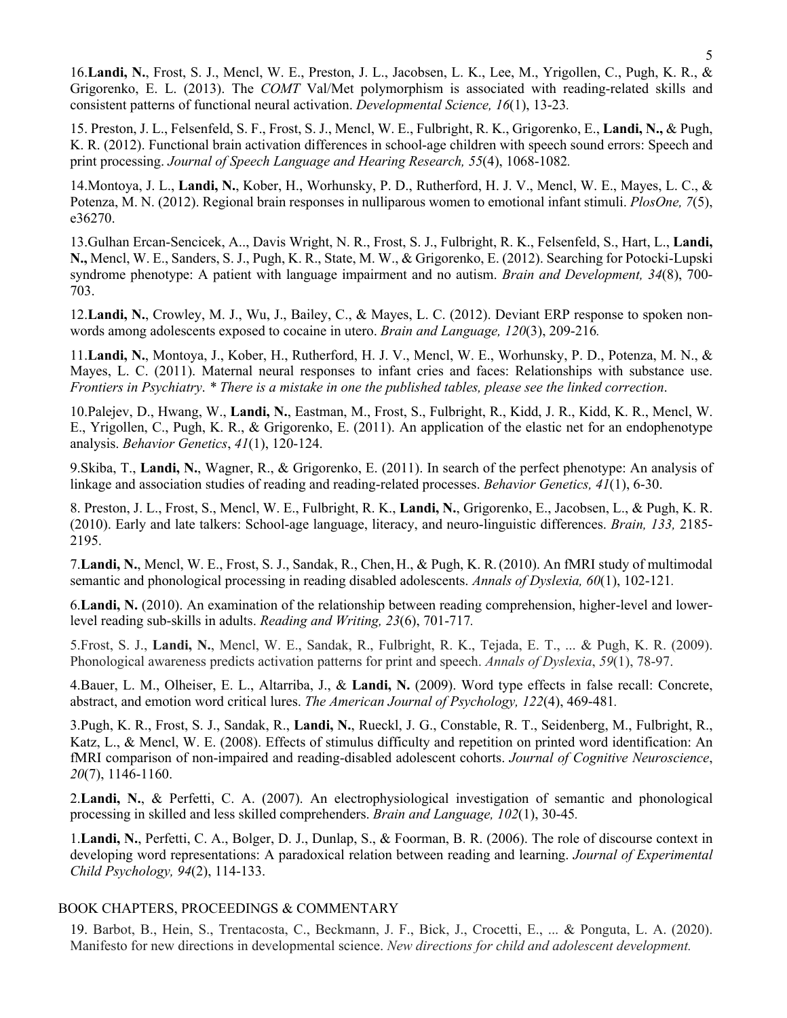16.**Landi, N.**, Frost, S. J., Mencl, W. E., Preston, J. L., Jacobsen, L. K., Lee, M., Yrigollen, C., Pugh, K. R., & Grigorenko, E. L. (2013). The *COMT* Val/Met polymorphism is associated with reading-related skills and consistent patterns of functional neural activation. *Developmental Science, 16*(1), 13-23*.*

15. Preston, J. L., Felsenfeld, S. F., Frost, S. J., Mencl, W. E., Fulbright, R. K., Grigorenko, E., **Landi, N.,** & Pugh, K. R. (2012). Functional brain activation differences in school-age children with speech sound errors: Speech and print processing. *Journal of Speech Language and Hearing Research, 55*(4), 1068-1082*.*

14.Montoya, J. L., **Landi, N.**, Kober, H., Worhunsky, P. D., Rutherford, H. J. V., Mencl, W. E., Mayes, L. C., & Potenza, M. N. (2012). Regional brain responses in nulliparous women to emotional infant stimuli. *PlosOne, 7*(5), e36270.

13.Gulhan Ercan-Sencicek, A.., Davis Wright, N. R., Frost, S. J., Fulbright, R. K., Felsenfeld, S., Hart, L., **Landi, N.,** Mencl, W. E., Sanders, S. J., Pugh, K. R., State, M. W., & Grigorenko, E. (2012). Searching for Potocki-Lupski syndrome phenotype: A patient with language impairment and no autism. *Brain and Development, 34*(8), 700- 703.

12.**Landi, N.**, Crowley, M. J., Wu, J., Bailey, C., & Mayes, L. C. (2012). Deviant ERP response to spoken nonwords among adolescents exposed to cocaine in utero. *Brain and Language, 120*(3), 209-216*.*

11.**Landi, N.**, Montoya, J., Kober, H., Rutherford, H. J. V., Mencl, W. E., Worhunsky, P. D., Potenza, M. N., & Mayes, L. C. (2011). Maternal neural responses to infant cries and faces: Relationships with substance use. *Frontiers in Psychiatry*. *\* There is a mistake in one the published tables, please see the linked correction*.

10.Palejev, D., Hwang, W., **Landi, N.**, Eastman, M., Frost, S., Fulbright, R., Kidd, J. R., Kidd, K. R., Mencl, W. E., Yrigollen, C., Pugh, K. R., & Grigorenko, E. (2011). An application of the elastic net for an endophenotype analysis. *Behavior Genetics*, *41*(1), 120-124.

9.Skiba, T., **Landi, N.**, Wagner, R., & Grigorenko, E. (2011). In search of the perfect phenotype: An analysis of linkage and association studies of reading and reading-related processes. *Behavior Genetics, 41*(1), 6-30.

8. Preston, J. L., Frost, S., Mencl, W. E., Fulbright, R. K., **Landi, N.**, Grigorenko, E., Jacobsen, L., & Pugh, K. R. (2010). Early and late talkers: School-age language, literacy, and neuro-linguistic differences. *Brain, 133,* 2185- 2195.

7.**Landi, N.**, Mencl, W. E., Frost, S. J., Sandak, R., Chen,H., & Pugh, K. R.(2010). An fMRI study of multimodal semantic and phonological processing in reading disabled adolescents. *Annals of Dyslexia, 60*(1), 102-121*.*

6.**Landi, N.** (2010). An examination of the relationship between reading comprehension, higher-level and lowerlevel reading sub-skills in adults. *Reading and Writing, 23*(6), 701-717*.* 

5.Frost, S. J., **Landi, N.**, Mencl, W. E., Sandak, R., Fulbright, R. K., Tejada, E. T., ... & Pugh, K. R. (2009). Phonological awareness predicts activation patterns for print and speech. *Annals of Dyslexia*, *59*(1), 78-97.

4.Bauer, L. M., Olheiser, E. L., Altarriba, J., & **Landi, N.** (2009). Word type effects in false recall: Concrete, abstract, and emotion word critical lures. *The American Journal of Psychology, 122*(4), 469-481*.* 

3.Pugh, K. R., Frost, S. J., Sandak, R., **Landi, N.**, Rueckl, J. G., Constable, R. T., Seidenberg, M., Fulbright, R., Katz, L., & Mencl, W. E. (2008). Effects of stimulus difficulty and repetition on printed word identification: An fMRI comparison of non-impaired and reading-disabled adolescent cohorts. *Journal of Cognitive Neuroscience*, *20*(7), 1146-1160.

2.**Landi, N.**, & Perfetti, C. A. (2007). An electrophysiological investigation of semantic and phonological processing in skilled and less skilled comprehenders. *Brain and Language, 102*(1), 30-45*.*

1.**Landi, N.**, Perfetti, C. A., Bolger, D. J., Dunlap, S., & Foorman, B. R. (2006). The role of discourse context in developing word representations: A paradoxical relation between reading and learning. *Journal of Experimental Child Psychology, 94*(2), 114-133.

#### BOOK CHAPTERS, PROCEEDINGS & COMMENTARY

19. Barbot, B., Hein, S., Trentacosta, C., Beckmann, J. F., Bick, J., Crocetti, E., ... & Ponguta, L. A. (2020). Manifesto for new directions in developmental science. *New directions for child and adolescent development.*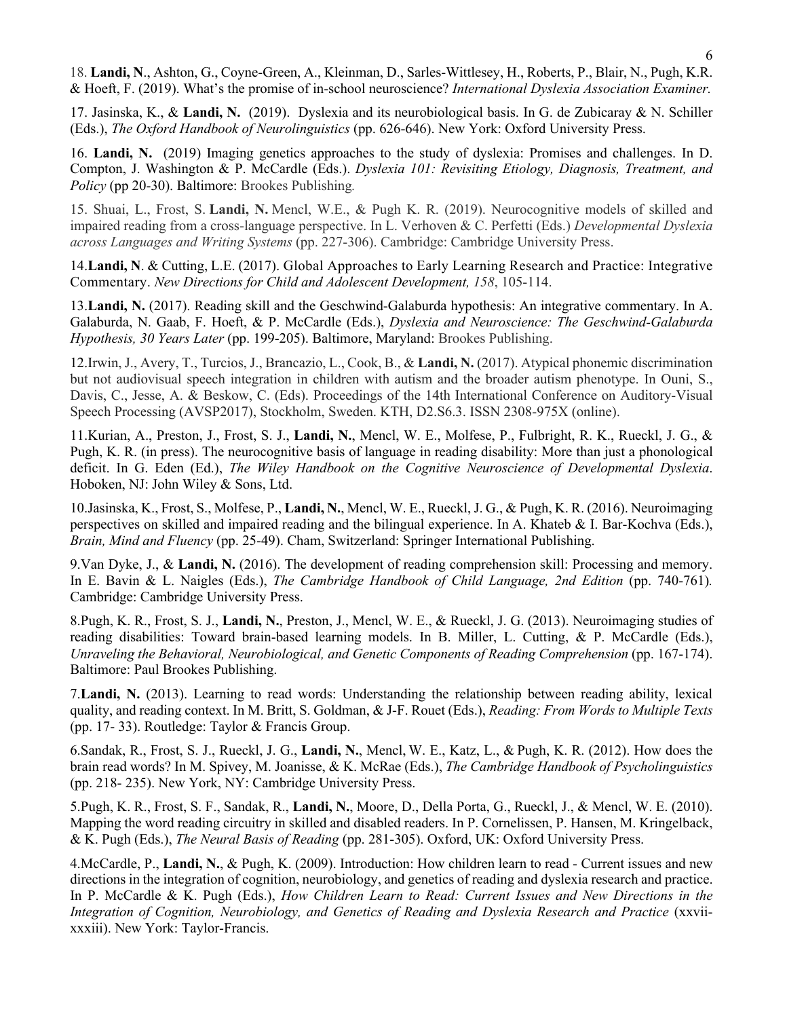18. **Landi, N**., Ashton, G., Coyne-Green, A., Kleinman, D., Sarles-Wittlesey, H., Roberts, P., Blair, N., Pugh, K.R. & Hoeft, F. (2019). What's the promise of in-school neuroscience? *International Dyslexia Association Examiner.*

17. Jasinska, K., & **Landi, N.** (2019). Dyslexia and its neurobiological basis. In G. de Zubicaray & N. Schiller (Eds.), *The Oxford Handbook of Neurolinguistics* (pp. 626-646). New York: Oxford University Press.

16. **Landi, N.** (2019) Imaging genetics approaches to the study of dyslexia: Promises and challenges. In D. Compton, J. Washington & P. McCardle (Eds.). *Dyslexia 101: Revisiting Etiology, Diagnosis, Treatment, and Policy* (pp 20-30). Baltimore: Brookes Publishing*.*

15. Shuai, L., Frost, S. **Landi, N.** Mencl, W.E., & Pugh K. R. (2019). Neurocognitive models of skilled and impaired reading from a cross-language perspective. In L. Verhoven & C. Perfetti (Eds.) *Developmental Dyslexia across Languages and Writing Systems* (pp. 227-306). Cambridge: Cambridge University Press.

14.**Landi, N**. & Cutting, L.E. (2017). Global Approaches to Early Learning Research and Practice: Integrative Commentary. *New Directions for Child and Adolescent Development, 158*, 105-114.

13.**Landi, N.** (2017). Reading skill and the Geschwind-Galaburda hypothesis: An integrative commentary. In A. Galaburda, N. Gaab, F. Hoeft, & P. McCardle (Eds.), *Dyslexia and Neuroscience: The Geschwind-Galaburda Hypothesis, 30 Years Later* (pp. 199-205). Baltimore, Maryland: Brookes Publishing.

12.Irwin, J., Avery, T., Turcios, J., Brancazio, L., Cook, B., & **Landi, N.** (2017). Atypical phonemic discrimination but not audiovisual speech integration in children with autism and the broader autism phenotype. In Ouni, S., Davis, C., Jesse, A. & Beskow, C. (Eds). Proceedings of the 14th International Conference on Auditory-Visual Speech Processing (AVSP2017), Stockholm, Sweden. KTH, D2.S6.3. ISSN 2308-975X (online).

11.Kurian, A., Preston, J., Frost, S. J., **Landi, N.**, Mencl, W. E., Molfese, P., Fulbright, R. K., Rueckl, J. G., & Pugh, K. R. (in press). The neurocognitive basis of language in reading disability: More than just a phonological deficit. In G. Eden (Ed.), *The Wiley Handbook on the Cognitive Neuroscience of Developmental Dyslexia*. Hoboken, NJ: John Wiley & Sons, Ltd.

10.Jasinska, K., Frost, S., Molfese, P., **Landi, N.**, Mencl, W. E., Rueckl, J. G., & Pugh, K. R. (2016). Neuroimaging perspectives on skilled and impaired reading and the bilingual experience. In A. Khateb & I. Bar-Kochva (Eds.), *Brain, Mind and Fluency* (pp. 25-49). Cham, Switzerland: Springer International Publishing.

9.Van Dyke, J., & **Landi, N.** (2016). The development of reading comprehension skill: Processing and memory. In E. Bavin & L. Naigles (Eds.), *The Cambridge Handbook of Child Language, 2nd Edition* (pp. 740-761)*.*  Cambridge: Cambridge University Press.

8.Pugh, K. R., Frost, S. J., **Landi, N.**, Preston, J., Mencl, W. E., & Rueckl, J. G. (2013). Neuroimaging studies of reading disabilities: Toward brain-based learning models. In B. Miller, L. Cutting, & P. McCardle (Eds.), *Unraveling the Behavioral, Neurobiological, and Genetic Components of Reading Comprehension* (pp. 167-174). Baltimore: Paul Brookes Publishing.

7.**Landi, N.** (2013). Learning to read words: Understanding the relationship between reading ability, lexical quality, and reading context. In M. Britt, S. Goldman, & J-F. Rouet (Eds.), *Reading: From Words to Multiple Texts* (pp. 17- 33). Routledge: Taylor & Francis Group.

6.Sandak, R., Frost, S. J., Rueckl, J. G., **Landi, N.**, Mencl, W. E., Katz, L., & Pugh, K. R. (2012). How does the brain read words? In M. Spivey, M. Joanisse, & K. McRae (Eds.), *The Cambridge Handbook of Psycholinguistics*  (pp. 218- 235). New York, NY: Cambridge University Press.

5.Pugh, K. R., Frost, S. F., Sandak, R., **Landi, N.**, Moore, D., Della Porta, G., Rueckl, J., & Mencl, W. E. (2010). Mapping the word reading circuitry in skilled and disabled readers. In P. Cornelissen, P. Hansen, M. Kringelback, & K. Pugh (Eds.), *The Neural Basis of Reading* (pp. 281-305). Oxford, UK: Oxford University Press.

4.McCardle, P., **Landi, N.**, & Pugh, K. (2009). Introduction: How children learn to read - Current issues and new directions in the integration of cognition, neurobiology, and genetics of reading and dyslexia research and practice. In P. McCardle & K. Pugh (Eds.), *How Children Learn to Read: Current Issues and New Directions in the Integration of Cognition, Neurobiology, and Genetics of Reading and Dyslexia Research and Practice* (xxviixxxiii). New York: Taylor-Francis.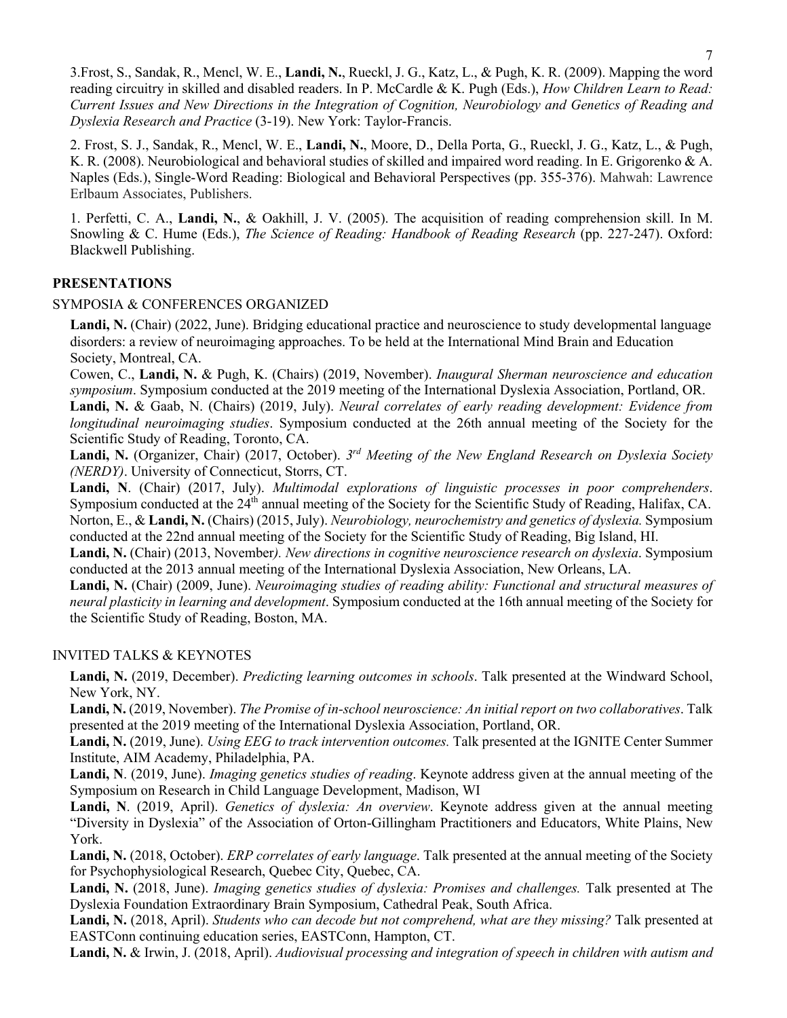3.Frost, S., Sandak, R., Mencl, W. E., **Landi, N.**, Rueckl, J. G., Katz, L., & Pugh, K. R. (2009). Mapping the word reading circuitry in skilled and disabled readers. In P. McCardle & K. Pugh (Eds.), *How Children Learn to Read: Current Issues and New Directions in the Integration of Cognition, Neurobiology and Genetics of Reading and Dyslexia Research and Practice* (3-19). New York: Taylor-Francis.

2. Frost, S. J., Sandak, R., Mencl, W. E., **Landi, N.**, Moore, D., Della Porta, G., Rueckl, J. G., Katz, L., & Pugh, K. R. (2008). Neurobiological and behavioral studies of skilled and impaired word reading. In E. Grigorenko & A. Naples (Eds.), Single-Word Reading: Biological and Behavioral Perspectives (pp. 355-376). Mahwah: Lawrence Erlbaum Associates, Publishers.

1. Perfetti, C. A., **Landi, N.**, & Oakhill, J. V. (2005). The acquisition of reading comprehension skill. In M. Snowling & C. Hume (Eds.), *The Science of Reading: Handbook of Reading Research* (pp. 227-247). Oxford: Blackwell Publishing.

## **PRESENTATIONS**

### SYMPOSIA & CONFERENCES ORGANIZED

**Landi, N.** (Chair) (2022, June). Bridging educational practice and neuroscience to study developmental language disorders: a review of neuroimaging approaches. To be held at the International Mind Brain and Education Society, Montreal, CA.

Cowen, C., **Landi, N.** & Pugh, K. (Chairs) (2019, November). *Inaugural Sherman neuroscience and education symposium*. Symposium conducted at the 2019 meeting of the International Dyslexia Association, Portland, OR.

**Landi, N.** & Gaab, N. (Chairs) (2019, July). *Neural correlates of early reading development: Evidence from longitudinal neuroimaging studies*. Symposium conducted at the 26th annual meeting of the Society for the Scientific Study of Reading, Toronto, CA.

**Landi, N.** (Organizer, Chair) (2017, October). *3rd Meeting of the New England Research on Dyslexia Society (NERDY)*. University of Connecticut, Storrs, CT.

**Landi, N**. (Chair) (2017, July). *Multimodal explorations of linguistic processes in poor comprehenders*. Symposium conducted at the  $24<sup>th</sup>$  annual meeting of the Society for the Scientific Study of Reading, Halifax, CA. Norton, E., & **Landi, N.** (Chairs) (2015, July). *Neurobiology, neurochemistry and genetics of dyslexia.* Symposium conducted at the 22nd annual meeting of the Society for the Scientific Study of Reading, Big Island, HI.

**Landi, N.** (Chair) (2013, November*). New directions in cognitive neuroscience research on dyslexia*. Symposium conducted at the 2013 annual meeting of the International Dyslexia Association, New Orleans, LA.

**Landi, N.** (Chair) (2009, June). *Neuroimaging studies of reading ability: Functional and structural measures of neural plasticity in learning and development*. Symposium conducted at the 16th annual meeting of the Society for the Scientific Study of Reading, Boston, MA.

### INVITED TALKS & KEYNOTES

**Landi, N.** (2019, December). *Predicting learning outcomes in schools*. Talk presented at the Windward School, New York, NY.

**Landi, N.** (2019, November). *The Promise of in-school neuroscience: An initial report on two collaboratives*. Talk presented at the 2019 meeting of the International Dyslexia Association, Portland, OR.

**Landi, N.** (2019, June). *Using EEG to track intervention outcomes.* Talk presented at the IGNITE Center Summer Institute, AIM Academy, Philadelphia, PA.

**Landi, N**. (2019, June). *Imaging genetics studies of reading*. Keynote address given at the annual meeting of the Symposium on Research in Child Language Development, Madison, WI

**Landi, N**. (2019, April). *Genetics of dyslexia: An overview*. Keynote address given at the annual meeting "Diversity in Dyslexia" of the Association of Orton-Gillingham Practitioners and Educators, White Plains, New York.

**Landi, N.** (2018, October). *ERP correlates of early language*. Talk presented at the annual meeting of the Society for Psychophysiological Research, Quebec City, Quebec, CA.

**Landi, N.** (2018, June). *Imaging genetics studies of dyslexia: Promises and challenges.* Talk presented at The Dyslexia Foundation Extraordinary Brain Symposium, Cathedral Peak, South Africa.

**Landi, N.** (2018, April). *Students who can decode but not comprehend, what are they missing?* Talk presented at EASTConn continuing education series, EASTConn, Hampton, CT.

**Landi, N.** & Irwin, J. (2018, April). *Audiovisual processing and integration of speech in children with autism and*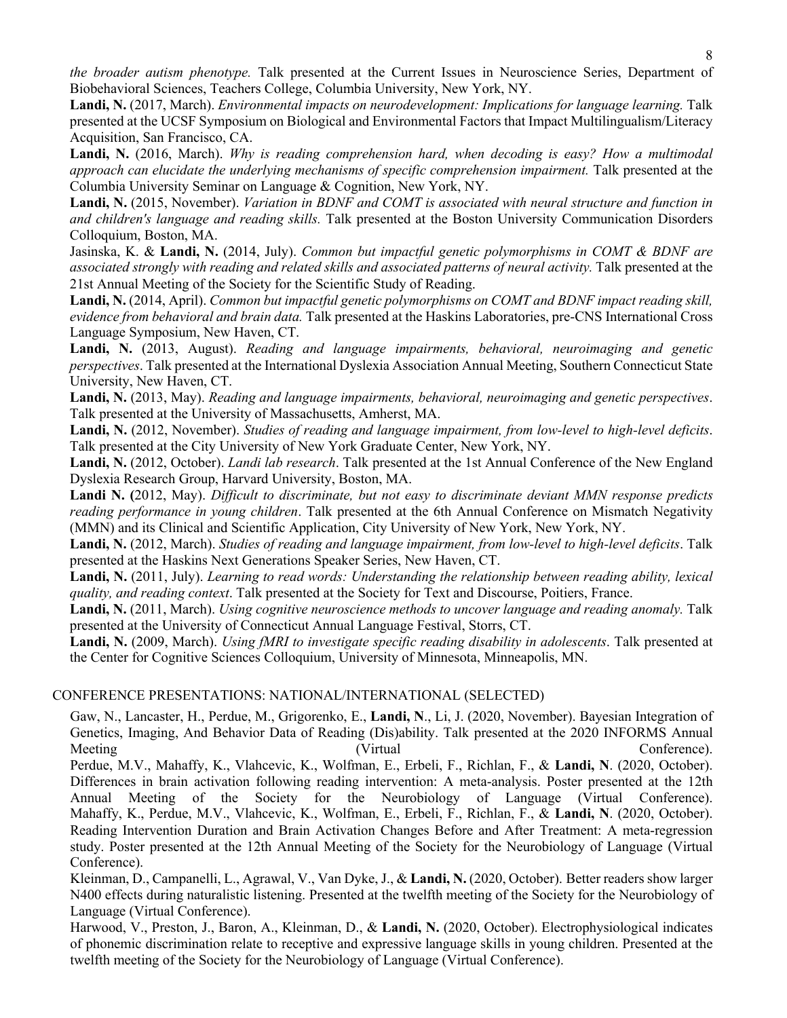*the broader autism phenotype.* Talk presented at the Current Issues in Neuroscience Series, Department of Biobehavioral Sciences, Teachers College, Columbia University, New York, NY.

**Landi, N.** (2017, March). *Environmental impacts on neurodevelopment: Implications for language learning.* Talk presented at the UCSF Symposium on Biological and Environmental Factors that Impact Multilingualism/Literacy Acquisition, San Francisco, CA.

**Landi, N.** (2016, March). *Why is reading comprehension hard, when decoding is easy? How a multimodal approach can elucidate the underlying mechanisms of specific comprehension impairment.* Talk presented at the Columbia University Seminar on Language & Cognition, New York, NY.

**Landi, N.** (2015, November). *Variation in BDNF and COMT is associated with neural structure and function in and children's language and reading skills.* Talk presented at the Boston University Communication Disorders Colloquium, Boston, MA.

Jasinska, K. & **Landi, N.** (2014, July). *Common but impactful genetic polymorphisms in COMT & BDNF are associated strongly with reading and related skills and associated patterns of neural activity.* Talk presented at the 21st Annual Meeting of the Society for the Scientific Study of Reading.

**Landi, N.** (2014, April). *Common but impactful genetic polymorphisms on COMT and BDNF impact reading skill, evidence from behavioral and brain data.* Talk presented at the Haskins Laboratories, pre-CNS International Cross Language Symposium, New Haven, CT.

**Landi, N.** (2013, August). *Reading and language impairments, behavioral, neuroimaging and genetic perspectives*. Talk presented at the International Dyslexia Association Annual Meeting, Southern Connecticut State University, New Haven, CT.

**Landi, N.** (2013, May). *Reading and language impairments, behavioral, neuroimaging and genetic perspectives*. Talk presented at the University of Massachusetts, Amherst, MA.

**Landi, N.** (2012, November). *Studies of reading and language impairment, from low-level to high-level deficits*. Talk presented at the City University of New York Graduate Center, New York, NY.

**Landi, N.** (2012, October). *Landi lab research*. Talk presented at the 1st Annual Conference of the New England Dyslexia Research Group, Harvard University, Boston, MA.

**Landi N. (**2012, May). *Difficult to discriminate, but not easy to discriminate deviant MMN response predicts reading performance in young children*. Talk presented at the 6th Annual Conference on Mismatch Negativity (MMN) and its Clinical and Scientific Application, City University of New York, New York, NY.

**Landi, N.** (2012, March). *Studies of reading and language impairment, from low-level to high-level deficits*. Talk presented at the Haskins Next Generations Speaker Series, New Haven, CT.

**Landi, N.** (2011, July). *Learning to read words: Understanding the relationship between reading ability, lexical quality, and reading context*. Talk presented at the Society for Text and Discourse, Poitiers, France.

**Landi, N.** (2011, March). *Using cognitive neuroscience methods to uncover language and reading anomaly.* Talk presented at the University of Connecticut Annual Language Festival, Storrs, CT.

**Landi, N.** (2009, March). *Using fMRI to investigate specific reading disability in adolescents*. Talk presented at the Center for Cognitive Sciences Colloquium, University of Minnesota, Minneapolis, MN.

### CONFERENCE PRESENTATIONS: NATIONAL/INTERNATIONAL (SELECTED)

Gaw, N., Lancaster, H., Perdue, M., Grigorenko, E., **Landi, N**., Li, J. (2020, November). Bayesian Integration of Genetics, Imaging, And Behavior Data of Reading (Dis)ability. Talk presented at the 2020 INFORMS Annual Meeting Conference). Perdue, M.V., Mahaffy, K., Vlahcevic, K., Wolfman, E., Erbeli, F., Richlan, F., & **Landi, N**. (2020, October). Differences in brain activation following reading intervention: A meta-analysis. Poster presented at the 12th Annual Meeting of the Society for the Neurobiology of Language (Virtual Conference). Mahaffy, K., Perdue, M.V., Vlahcevic, K., Wolfman, E., Erbeli, F., Richlan, F., & **Landi, N**. (2020, October). Reading Intervention Duration and Brain Activation Changes Before and After Treatment: A meta-regression study. Poster presented at the 12th Annual Meeting of the Society for the Neurobiology of Language (Virtual Conference).

Kleinman, D., Campanelli, L., Agrawal, V., Van Dyke, J., & **Landi, N.** (2020, October). Better readers show larger N400 effects during naturalistic listening. Presented at the twelfth meeting of the Society for the Neurobiology of Language (Virtual Conference).

Harwood, V., Preston, J., Baron, A., Kleinman, D., & **Landi, N.** (2020, October). Electrophysiological indicates of phonemic discrimination relate to receptive and expressive language skills in young children. Presented at the twelfth meeting of the Society for the Neurobiology of Language (Virtual Conference).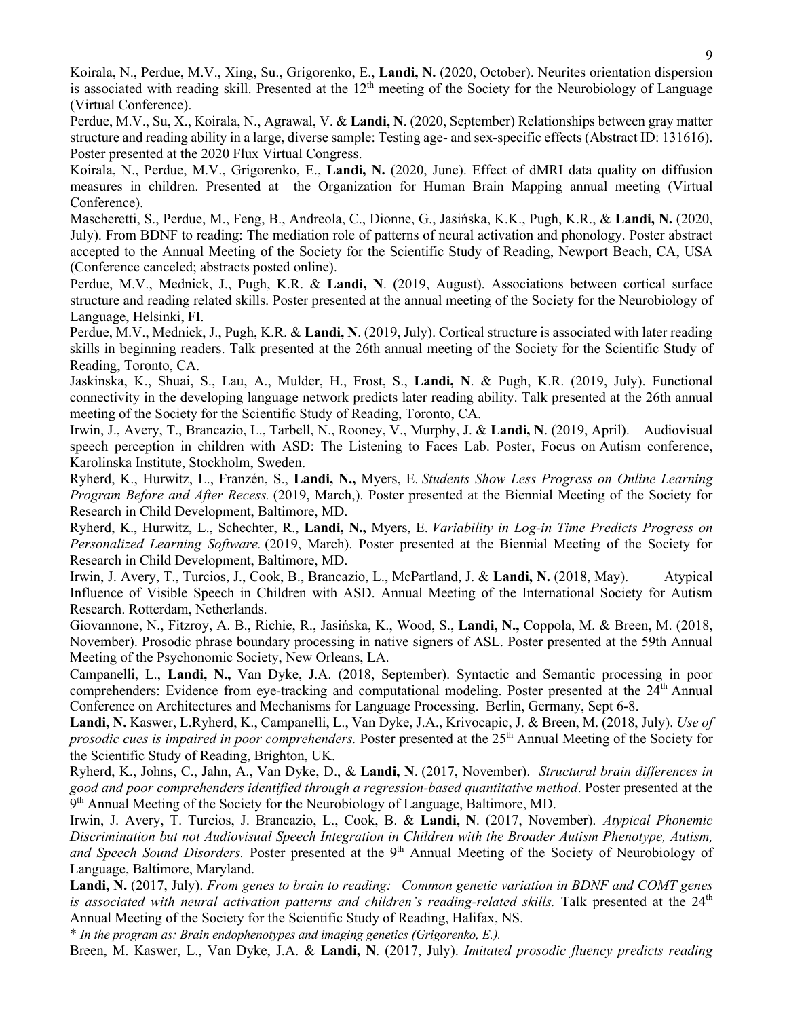Koirala, N., Perdue, M.V., Xing, Su., Grigorenko, E., **Landi, N.** (2020, October). Neurites orientation dispersion is associated with reading skill. Presented at the  $12<sup>th</sup>$  meeting of the Society for the Neurobiology of Language (Virtual Conference).

Perdue, M.V., Su, X., Koirala, N., Agrawal, V. & **Landi, N**. (2020, September) Relationships between gray matter structure and reading ability in a large, diverse sample: Testing age- and sex-specific effects (Abstract ID: 131616). Poster presented at the 2020 Flux Virtual Congress.

Koirala, N., Perdue, M.V., Grigorenko, E., **Landi, N.** (2020, June). Effect of dMRI data quality on diffusion measures in children. Presented at the Organization for Human Brain Mapping annual meeting (Virtual Conference).

Mascheretti, S., Perdue, M., Feng, B., Andreola, C., Dionne, G., Jasińska, K.K., Pugh, K.R., & **Landi, N.** (2020, July). From BDNF to reading: The mediation role of patterns of neural activation and phonology. Poster abstract accepted to the Annual Meeting of the Society for the Scientific Study of Reading, Newport Beach, CA, USA (Conference canceled; abstracts posted online).

Perdue, M.V., Mednick, J., Pugh, K.R. & **Landi, N**. (2019, August). Associations between cortical surface structure and reading related skills. Poster presented at the annual meeting of the Society for the Neurobiology of Language, Helsinki, FI.

Perdue, M.V., Mednick, J., Pugh, K.R. & **Landi, N**. (2019, July). Cortical structure is associated with later reading skills in beginning readers. Talk presented at the 26th annual meeting of the Society for the Scientific Study of Reading, Toronto, CA.

Jaskinska, K., Shuai, S., Lau, A., Mulder, H., Frost, S., **Landi, N**. & Pugh, K.R. (2019, July). Functional connectivity in the developing language network predicts later reading ability. Talk presented at the 26th annual meeting of the Society for the Scientific Study of Reading, Toronto, CA.

Irwin, J., Avery, T., Brancazio, L., Tarbell, N., Rooney, V., Murphy, J. & **Landi, N**. (2019, April). Audiovisual speech perception in children with ASD: The Listening to Faces Lab. Poster, Focus on Autism conference, Karolinska Institute, Stockholm, Sweden.

Ryherd, K., Hurwitz, L., Franzén, S., **Landi, N.,** Myers, E. *Students Show Less Progress on Online Learning Program Before and After Recess.* (2019, March,). Poster presented at the Biennial Meeting of the Society for Research in Child Development, Baltimore, MD.

Ryherd, K., Hurwitz, L., Schechter, R., **Landi, N.,** Myers, E. *Variability in Log-in Time Predicts Progress on Personalized Learning Software.* (2019, March). Poster presented at the Biennial Meeting of the Society for Research in Child Development, Baltimore, MD.

Irwin, J. Avery, T., Turcios, J., Cook, B., Brancazio, L., McPartland, J. & **Landi, N.** (2018, May). Atypical Influence of Visible Speech in Children with ASD. Annual Meeting of the International Society for Autism Research. Rotterdam, Netherlands.

Giovannone, N., Fitzroy, A. B., Richie, R., Jasińska, K., Wood, S., **Landi, N.,** Coppola, M. & Breen, M. (2018, November). Prosodic phrase boundary processing in native signers of ASL. Poster presented at the 59th Annual Meeting of the Psychonomic Society, New Orleans, LA.

Campanelli, L., **Landi, N.,** Van Dyke, J.A. (2018, September). Syntactic and Semantic processing in poor comprehenders: Evidence from eye-tracking and computational modeling. Poster presented at the 24<sup>th</sup> Annual Conference on Architectures and Mechanisms for Language Processing. Berlin, Germany, Sept 6-8.

**Landi, N.** Kaswer, L.Ryherd, K., Campanelli, L., Van Dyke, J.A., Krivocapic, J. & Breen, M. (2018, July). *Use of prosodic cues is impaired in poor comprehenders.* Poster presented at the 25<sup>th</sup> Annual Meeting of the Society for the Scientific Study of Reading, Brighton, UK.

Ryherd, K., Johns, C., Jahn, A., Van Dyke, D., & **Landi, N**. (2017, November). *Structural brain differences in good and poor comprehenders identified through a regression-based quantitative method*. Poster presented at the  $9<sup>th</sup>$  Annual Meeting of the Society for the Neurobiology of Language, Baltimore, MD.

Irwin, J. Avery, T. Turcios, J. Brancazio, L., Cook, B. & **Landi, N**. (2017, November). *Atypical Phonemic Discrimination but not Audiovisual Speech Integration in Children with the Broader Autism Phenotype, Autism,*  and Speech Sound Disorders. Poster presented at the 9<sup>th</sup> Annual Meeting of the Society of Neurobiology of Language, Baltimore, Maryland.

**Landi, N.** (2017, July). *From genes to brain to reading: Common genetic variation in BDNF and COMT genes is associated with neural activation patterns and children's reading-related skills.* Talk presented at the 24<sup>th</sup> Annual Meeting of the Society for the Scientific Study of Reading, Halifax, NS.

\* *In the program as: Brain endophenotypes and imaging genetics (Grigorenko, E.).*

Breen, M. Kaswer, L., Van Dyke, J.A. & **Landi, N**. (2017, July). *Imitated prosodic fluency predicts reading*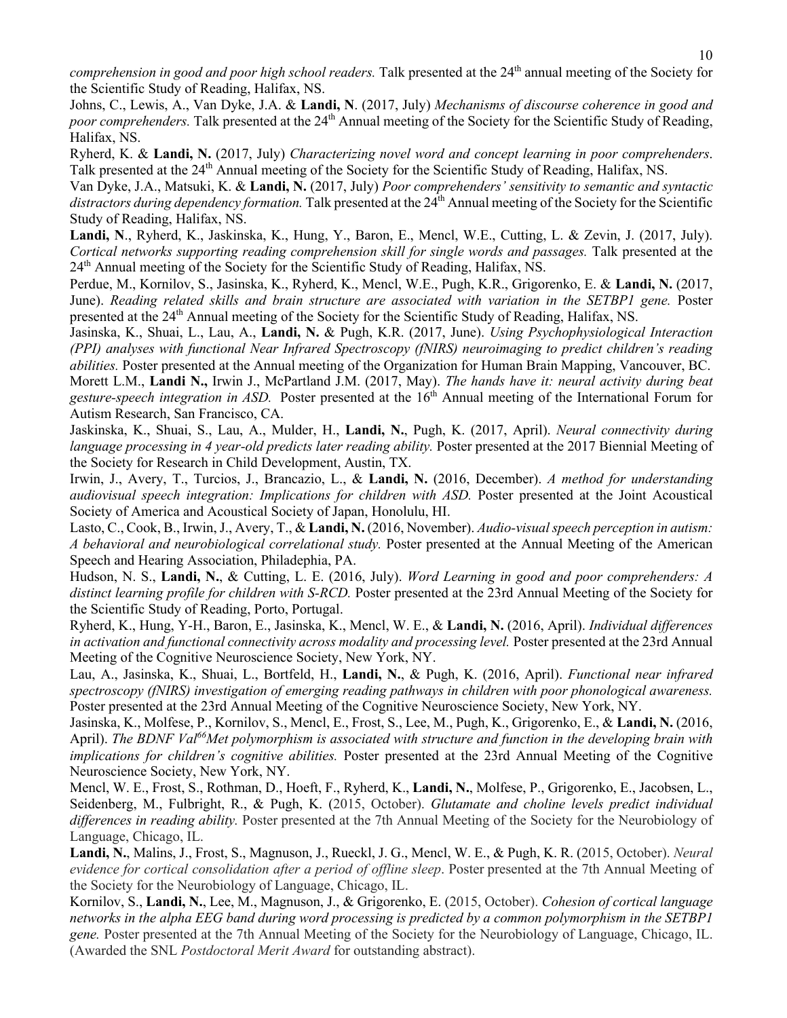*comprehension in good and poor high school readers.* Talk presented at the 24<sup>th</sup> annual meeting of the Society for the Scientific Study of Reading, Halifax, NS.

Johns, C., Lewis, A., Van Dyke, J.A. & **Landi, N**. (2017, July) *Mechanisms of discourse coherence in good and poor comprehenders*. Talk presented at the 24<sup>th</sup> Annual meeting of the Society for the Scientific Study of Reading, Halifax, NS.

Ryherd, K. & **Landi, N.** (2017, July) *Characterizing novel word and concept learning in poor comprehenders*. Talk presented at the 24<sup>th</sup> Annual meeting of the Society for the Scientific Study of Reading, Halifax, NS.

Van Dyke, J.A., Matsuki, K. & **Landi, N.** (2017, July) *Poor comprehenders' sensitivity to semantic and syntactic*  distractors during dependency formation. Talk presented at the 24<sup>th</sup> Annual meeting of the Society for the Scientific Study of Reading, Halifax, NS.

**Landi, N**., Ryherd, K., Jaskinska, K., Hung, Y., Baron, E., Mencl, W.E., Cutting, L. & Zevin, J. (2017, July). *Cortical networks supporting reading comprehension skill for single words and passages.* Talk presented at the 24<sup>th</sup> Annual meeting of the Society for the Scientific Study of Reading, Halifax, NS.

Perdue, M., Kornilov, S., Jasinska, K., Ryherd, K., Mencl, W.E., Pugh, K.R., Grigorenko, E. & **Landi, N.** (2017, June). *Reading related skills and brain structure are associated with variation in the SETBP1 gene.* Poster presented at the 24th Annual meeting of the Society for the Scientific Study of Reading, Halifax, NS.

Jasinska, K., Shuai, L., Lau, A., **Landi, N.** & Pugh, K.R. (2017, June). *Using Psychophysiological Interaction (PPI) analyses with functional Near Infrared Spectroscopy (fNIRS) neuroimaging to predict children's reading abilities.* Poster presented at the Annual meeting of the Organization for Human Brain Mapping, Vancouver, BC. Morett L.M., **Landi N.,** Irwin J., McPartland J.M. (2017, May). *The hands have it: neural activity during beat gesture-speech integration in ASD.* Poster presented at the 16th Annual meeting of the International Forum for Autism Research, San Francisco, CA.

Jaskinska, K., Shuai, S., Lau, A., Mulder, H., **Landi, N.**, Pugh, K. (2017, April). *Neural connectivity during language processing in 4 year-old predicts later reading ability.* Poster presented at the 2017 Biennial Meeting of the Society for Research in Child Development, Austin, TX.

Irwin, J., Avery, T., Turcios, J., Brancazio, L., & **Landi, N.** (2016, December). *A method for understanding audiovisual speech integration: Implications for children with ASD.* Poster presented at the Joint Acoustical Society of America and Acoustical Society of Japan, Honolulu, HI.

Lasto, C., Cook, B., Irwin, J., Avery, T., & **Landi, N.** (2016, November). *Audio-visual speech perception in autism: A behavioral and neurobiological correlational study.* Poster presented at the Annual Meeting of the American Speech and Hearing Association, Philadephia, PA.

Hudson, N. S., **Landi, N.**, & Cutting, L. E. (2016, July). *Word Learning in good and poor comprehenders: A distinct learning profile for children with S-RCD.* Poster presented at the 23rd Annual Meeting of the Society for the Scientific Study of Reading, Porto, Portugal.

Ryherd, K., Hung, Y-H., Baron, E., Jasinska, K., Mencl, W. E., & **Landi, N.** (2016, April). *Individual differences*  in activation and functional connectivity across modality and processing level. Poster presented at the 23rd Annual Meeting of the Cognitive Neuroscience Society, New York, NY.

Lau, A., Jasinska, K., Shuai, L., Bortfeld, H., **Landi, N.**, & Pugh, K. (2016, April). *Functional near infrared spectroscopy (fNIRS) investigation of emerging reading pathways in children with poor phonological awareness.* Poster presented at the 23rd Annual Meeting of the Cognitive Neuroscience Society, New York, NY.

Jasinska, K., Molfese, P., Kornilov, S., Mencl, E., Frost, S., Lee, M., Pugh, K., Grigorenko, E., & **Landi, N.** (2016, April). *The BDNF Val66Met polymorphism is associated with structure and function in the developing brain with implications for children's cognitive abilities.* Poster presented at the 23rd Annual Meeting of the Cognitive Neuroscience Society, New York, NY.

Mencl, W. E., Frost, S., Rothman, D., Hoeft, F., Ryherd, K., **Landi, N.**, Molfese, P., Grigorenko, E., Jacobsen, L., Seidenberg, M., Fulbright, R., & Pugh, K. (2015, October). *Glutamate and choline levels predict individual differences in reading ability.* Poster presented at the 7th Annual Meeting of the Society for the Neurobiology of Language, Chicago, IL.

**Landi, N.**, Malins, J., Frost, S., Magnuson, J., Rueckl, J. G., Mencl, W. E., & Pugh, K. R. (2015, October). *Neural evidence for cortical consolidation after a period of offline sleep*. Poster presented at the 7th Annual Meeting of the Society for the Neurobiology of Language, Chicago, IL.

Kornilov, S., **Landi, N.**, Lee, M., Magnuson, J., & Grigorenko, E. (2015, October). *Cohesion of cortical language networks in the alpha EEG band during word processing is predicted by a common polymorphism in the SETBP1 gene.* Poster presented at the 7th Annual Meeting of the Society for the Neurobiology of Language, Chicago, IL. (Awarded the SNL *Postdoctoral Merit Award* for outstanding abstract).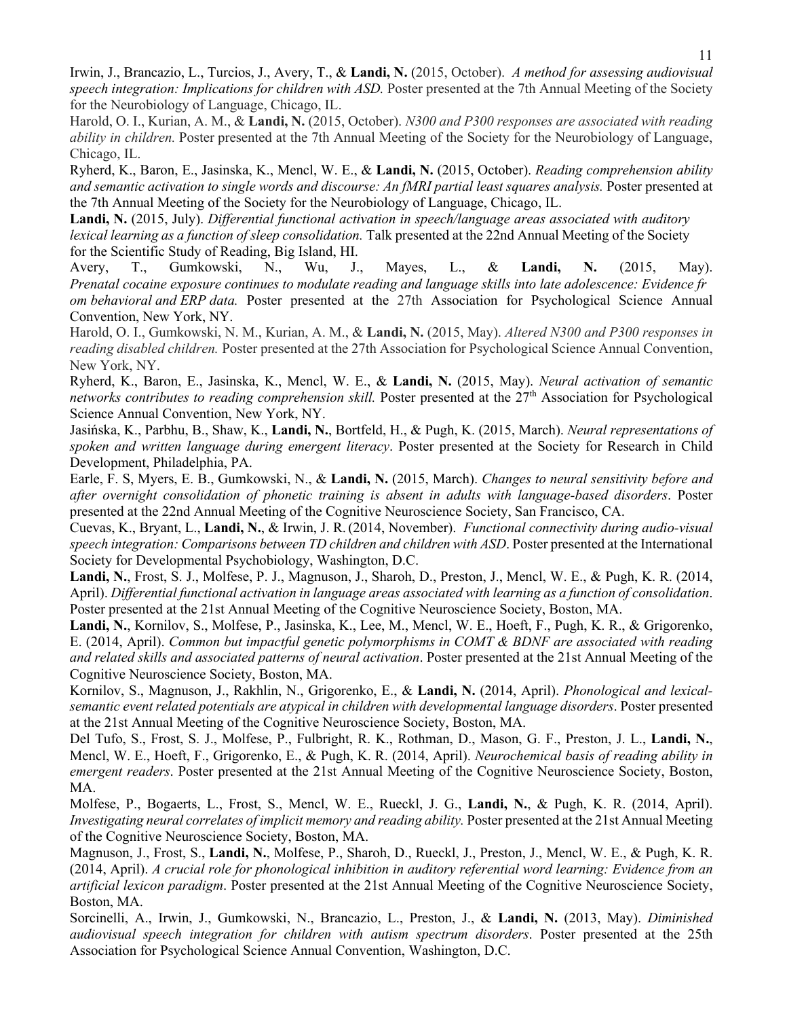Irwin, J., Brancazio, L., Turcios, J., Avery, T., & **Landi, N.** (2015, October). *A method for assessing audiovisual speech integration: Implications for children with ASD.* Poster presented at the 7th Annual Meeting of the Society for the Neurobiology of Language, Chicago, IL.

Harold, O. I., Kurian, A. M., & **Landi, N.** (2015, October). *N300 and P300 responses are associated with reading ability in children.* Poster presented at the 7th Annual Meeting of the Society for the Neurobiology of Language, Chicago, IL.

Ryherd, K., Baron, E., Jasinska, K., Mencl, W. E., & **Landi, N.** (2015, October). *Reading comprehension ability and semantic activation to single words and discourse: An fMRI partial least squares analysis.* Poster presented at the 7th Annual Meeting of the Society for the Neurobiology of Language, Chicago, IL.

**Landi, N.** (2015, July). *Differential functional activation in speech/language areas associated with auditory lexical learning as a function of sleep consolidation.* Talk presented at the 22nd Annual Meeting of the Society for the Scientific Study of Reading, Big Island, HI.

Avery, T., Gumkowski, N., Wu, J., Mayes, L., & **Landi, N.** (2015, May). *Prenatal cocaine exposure continues to modulate reading and language skills into late adolescence: Evidence fr om behavioral and ERP data.* Poster presented at the 27th Association for Psychological Science Annual Convention, New York, NY.

Harold, O. I., Gumkowski, N. M., Kurian, A. M., & **Landi, N.** (2015, May). *Altered N300 and P300 responses in reading disabled children.* Poster presented at the 27th Association for Psychological Science Annual Convention, New York, NY.

Ryherd, K., Baron, E., Jasinska, K., Mencl, W. E., & **Landi, N.** (2015, May). *Neural activation of semantic networks contributes to reading comprehension skill.* Poster presented at the 27<sup>th</sup> Association for Psychological Science Annual Convention, New York, NY.

Jasińska, K., Parbhu, B., Shaw, K., **Landi, N.**, Bortfeld, H., & Pugh, K. (2015, March). *Neural representations of spoken and written language during emergent literacy*. Poster presented at the Society for Research in Child Development, Philadelphia, PA.

Earle, F. S, Myers, E. B., Gumkowski, N., & **Landi, N.** (2015, March). *Changes to neural sensitivity before and after overnight consolidation of phonetic training is absent in adults with language-based disorders*. Poster presented at the 22nd Annual Meeting of the Cognitive Neuroscience Society, San Francisco, CA.

Cuevas, K., Bryant, L., **Landi, N.**, & Irwin, J. R.(2014, November). *Functional connectivity during audio-visual speech integration: Comparisons between TD children and children with ASD*. Poster presented at the International Society for Developmental Psychobiology, Washington, D.C.

**Landi, N.**, Frost, S. J., Molfese, P. J., Magnuson, J., Sharoh, D., Preston, J., Mencl, W. E., & Pugh, K. R. (2014, April). *Differential functional activation in language areas associated with learning as a function of consolidation*. Poster presented at the 21st Annual Meeting of the Cognitive Neuroscience Society, Boston, MA.

**Landi, N.**, Kornilov, S., Molfese, P., Jasinska, K., Lee, M., Mencl, W. E., Hoeft, F., Pugh, K. R., & Grigorenko, E. (2014, April). *Common but impactful genetic polymorphisms in COMT & BDNF are associated with reading and related skills and associated patterns of neural activation*. Poster presented at the 21st Annual Meeting of the Cognitive Neuroscience Society, Boston, MA.

Kornilov, S., Magnuson, J., Rakhlin, N., Grigorenko, E., & **Landi, N.** (2014, April). *Phonological and lexicalsemantic event related potentials are atypical in children with developmental language disorders*. Poster presented at the 21st Annual Meeting of the Cognitive Neuroscience Society, Boston, MA.

Del Tufo, S., Frost, S. J., Molfese, P., Fulbright, R. K., Rothman, D., Mason, G. F., Preston, J. L., **Landi, N.**, Mencl, W. E., Hoeft, F., Grigorenko, E., & Pugh, K. R. (2014, April). *Neurochemical basis of reading ability in emergent readers*. Poster presented at the 21st Annual Meeting of the Cognitive Neuroscience Society, Boston, MA.

Molfese, P., Bogaerts, L., Frost, S., Mencl, W. E., Rueckl, J. G., **Landi, N.**, & Pugh, K. R. (2014, April). *Investigating neural correlates of implicit memory and reading ability.* Poster presented at the 21st Annual Meeting of the Cognitive Neuroscience Society, Boston, MA.

Magnuson, J., Frost, S., **Landi, N.**, Molfese, P., Sharoh, D., Rueckl, J., Preston, J., Mencl, W. E., & Pugh, K. R. (2014, April). *A crucial role for phonological inhibition in auditory referential word learning: Evidence from an artificial lexicon paradigm*. Poster presented at the 21st Annual Meeting of the Cognitive Neuroscience Society, Boston, MA.

Sorcinelli, A., Irwin, J., Gumkowski, N., Brancazio, L., Preston, J., & **Landi, N.** (2013, May). *Diminished audiovisual speech integration for children with autism spectrum disorders*. Poster presented at the 25th Association for Psychological Science Annual Convention, Washington, D.C.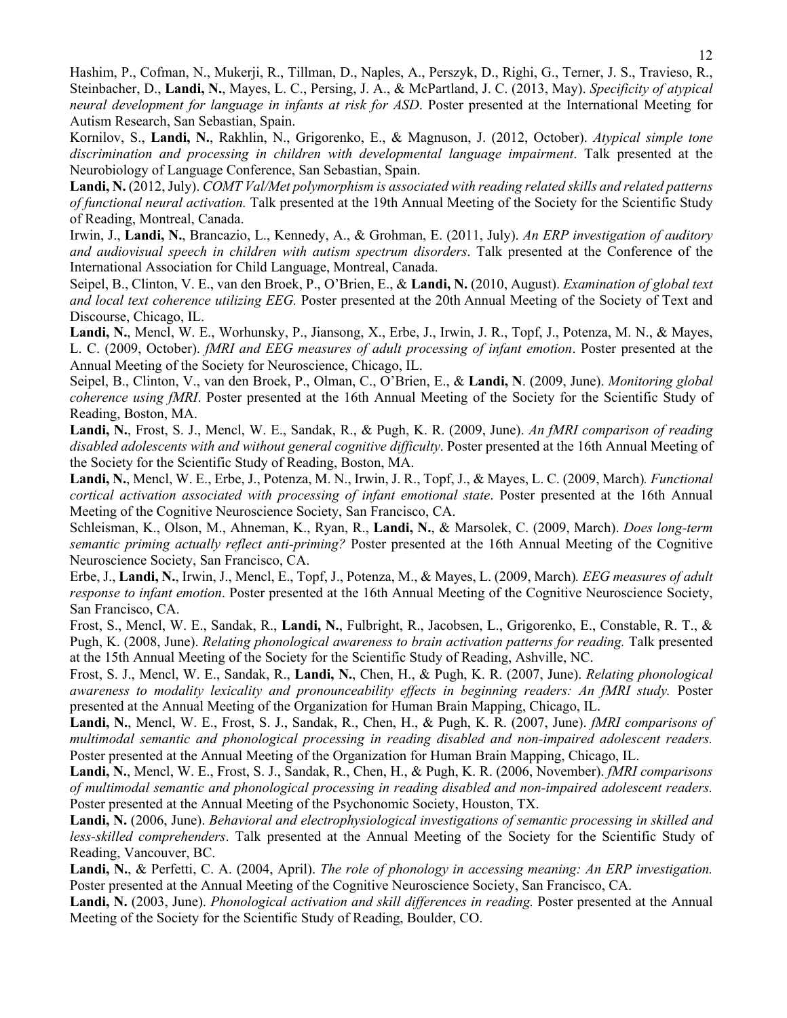Hashim, P., Cofman, N., Mukerji, R., Tillman, D., Naples, A., Perszyk, D., Righi, G., Terner, J. S., Travieso, R., Steinbacher, D., **Landi, N.**, Mayes, L. C., Persing, J. A., & McPartland, J. C. (2013, May). *Specificity of atypical neural development for language in infants at risk for ASD*. Poster presented at the International Meeting for Autism Research, San Sebastian, Spain.

Kornilov, S., **Landi, N.**, Rakhlin, N., Grigorenko, E., & Magnuson, J. (2012, October). *Atypical simple tone discrimination and processing in children with developmental language impairment*. Talk presented at the Neurobiology of Language Conference, San Sebastian, Spain.

**Landi, N.** (2012, July). *COMT Val/Met polymorphism is associated with reading related skills and related patterns of functional neural activation.* Talk presented at the 19th Annual Meeting of the Society for the Scientific Study of Reading, Montreal, Canada.

Irwin, J., **Landi, N.**, Brancazio, L., Kennedy, A., & Grohman, E. (2011, July). *An ERP investigation of auditory and audiovisual speech in children with autism spectrum disorders*. Talk presented at the Conference of the International Association for Child Language, Montreal, Canada.

Seipel, B., Clinton, V. E., van den Broek, P., O'Brien, E., & **Landi, N.** (2010, August). *Examination of global text and local text coherence utilizing EEG.* Poster presented at the 20th Annual Meeting of the Society of Text and Discourse, Chicago, IL.

**Landi, N.**, Mencl, W. E., Worhunsky, P., Jiansong, X., Erbe, J., Irwin, J. R., Topf, J., Potenza, M. N., & Mayes, L. C. (2009, October). *fMRI and EEG measures of adult processing of infant emotion*. Poster presented at the Annual Meeting of the Society for Neuroscience, Chicago, IL.

Seipel, B., Clinton, V., van den Broek, P., Olman, C., O'Brien, E., & **Landi, N**. (2009, June). *Monitoring global coherence using fMRI*. Poster presented at the 16th Annual Meeting of the Society for the Scientific Study of Reading, Boston, MA.

**Landi, N.**, Frost, S. J., Mencl, W. E., Sandak, R., & Pugh, K. R. (2009, June). *An fMRI comparison of reading disabled adolescents with and without general cognitive difficulty*. Poster presented at the 16th Annual Meeting of the Society for the Scientific Study of Reading, Boston, MA.

**Landi, N.**, Mencl, W. E., Erbe, J., Potenza, M. N., Irwin, J. R., Topf, J., & Mayes, L. C. (2009, March)*. Functional cortical activation associated with processing of infant emotional state*. Poster presented at the 16th Annual Meeting of the Cognitive Neuroscience Society, San Francisco, CA.

Schleisman, K., Olson, M., Ahneman, K., Ryan, R., **Landi, N.**, & Marsolek, C. (2009, March). *Does long-term semantic priming actually reflect anti-priming?* Poster presented at the 16th Annual Meeting of the Cognitive Neuroscience Society, San Francisco, CA.

Erbe, J., **Landi, N.**, Irwin, J., Mencl, E., Topf, J., Potenza, M., & Mayes, L. (2009, March)*. EEG measures of adult response to infant emotion*. Poster presented at the 16th Annual Meeting of the Cognitive Neuroscience Society, San Francisco, CA.

Frost, S., Mencl, W. E., Sandak, R., **Landi, N.**, Fulbright, R., Jacobsen, L., Grigorenko, E., Constable, R. T., & Pugh, K. (2008, June). *Relating phonological awareness to brain activation patterns for reading*. Talk presented at the 15th Annual Meeting of the Society for the Scientific Study of Reading, Ashville, NC.

Frost, S. J., Mencl, W. E., Sandak, R., **Landi, N.**, Chen, H., & Pugh, K. R. (2007, June). *Relating phonological awareness to modality lexicality and pronounceability effects in beginning readers: An fMRI study.* Poster presented at the Annual Meeting of the Organization for Human Brain Mapping, Chicago, IL.

**Landi, N.**, Mencl, W. E., Frost, S. J., Sandak, R., Chen, H., & Pugh, K. R. (2007, June). *fMRI comparisons of multimodal semantic and phonological processing in reading disabled and non-impaired adolescent readers.* Poster presented at the Annual Meeting of the Organization for Human Brain Mapping, Chicago, IL.

**Landi, N.**, Mencl, W. E., Frost, S. J., Sandak, R., Chen, H., & Pugh, K. R. (2006, November). *fMRI comparisons of multimodal semantic and phonological processing in reading disabled and non-impaired adolescent readers.* Poster presented at the Annual Meeting of the Psychonomic Society, Houston, TX.

**Landi, N.** (2006, June). *Behavioral and electrophysiological investigations of semantic processing in skilled and less-skilled comprehenders*. Talk presented at the Annual Meeting of the Society for the Scientific Study of Reading, Vancouver, BC.

**Landi, N.**, & Perfetti, C. A. (2004, April). *The role of phonology in accessing meaning: An ERP investigation.* Poster presented at the Annual Meeting of the Cognitive Neuroscience Society, San Francisco, CA.

**Landi, N.** (2003, June). *Phonological activation and skill differences in reading.* Poster presented at the Annual Meeting of the Society for the Scientific Study of Reading, Boulder, CO.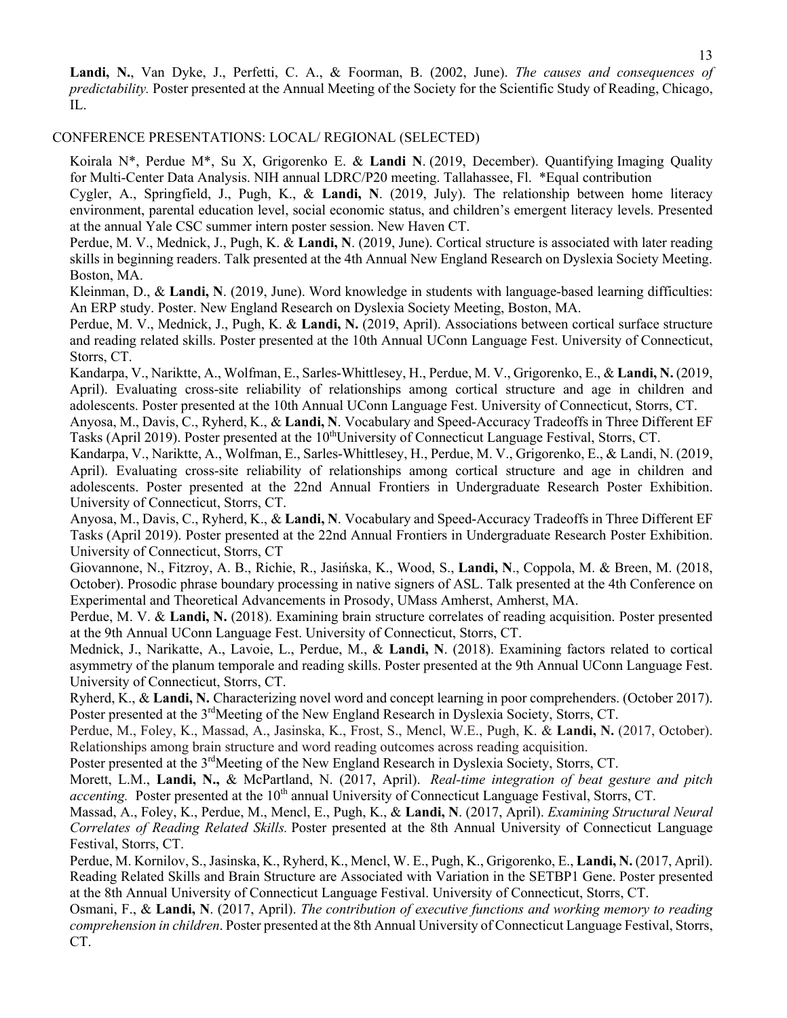**Landi, N.**, Van Dyke, J., Perfetti, C. A., & Foorman, B. (2002, June). *The causes and consequences of predictability.* Poster presented at the Annual Meeting of the Society for the Scientific Study of Reading, Chicago, IL.

## CONFERENCE PRESENTATIONS: LOCAL/ REGIONAL (SELECTED)

Koirala N\*, Perdue M\*, Su X, Grigorenko E. & **Landi N**. (2019, December). Quantifying Imaging Quality for Multi-Center Data Analysis. NIH annual LDRC/P20 meeting. Tallahassee, Fl. \*Equal contribution

Cygler, A., Springfield, J., Pugh, K., & **Landi, N**. (2019, July). The relationship between home literacy environment, parental education level, social economic status, and children's emergent literacy levels. Presented at the annual Yale CSC summer intern poster session. New Haven CT.

Perdue, M. V., Mednick, J., Pugh, K. & **Landi, N**. (2019, June). Cortical structure is associated with later reading skills in beginning readers. Talk presented at the 4th Annual New England Research on Dyslexia Society Meeting. Boston, MA.

Kleinman, D., & **Landi, N**. (2019, June). Word knowledge in students with language-based learning difficulties: An ERP study. Poster. New England Research on Dyslexia Society Meeting, Boston, MA.

Perdue, M. V., Mednick, J., Pugh, K. & **Landi, N.** (2019, April). Associations between cortical surface structure and reading related skills. Poster presented at the 10th Annual UConn Language Fest. University of Connecticut, Storrs, CT.

Kandarpa, V., Nariktte, A., Wolfman, E., Sarles-Whittlesey, H., Perdue, M. V., Grigorenko, E., & **Landi, N.** (2019, April). Evaluating cross-site reliability of relationships among cortical structure and age in children and adolescents. Poster presented at the 10th Annual UConn Language Fest. University of Connecticut, Storrs, CT.

Anyosa, M., Davis, C., Ryherd, K., & **Landi, N**. Vocabulary and Speed-Accuracy Tradeoffs in Three Different EF Tasks (April 2019). Poster presented at the  $10^{th}$ University of Connecticut Language Festival, Storrs, CT.

Kandarpa, V., Nariktte, A., Wolfman, E., Sarles-Whittlesey, H., Perdue, M. V., Grigorenko, E., & Landi, N. (2019, April). Evaluating cross-site reliability of relationships among cortical structure and age in children and adolescents. Poster presented at the 22nd Annual Frontiers in Undergraduate Research Poster Exhibition. University of Connecticut, Storrs, CT.

Anyosa, M., Davis, C., Ryherd, K., & **Landi, N**. Vocabulary and Speed-Accuracy Tradeoffs in Three Different EF Tasks (April 2019). Poster presented at the 22nd Annual Frontiers in Undergraduate Research Poster Exhibition. University of Connecticut, Storrs, CT

Giovannone, N., Fitzroy, A. B., Richie, R., Jasińska, K., Wood, S., **Landi, N**., Coppola, M. & Breen, M. (2018, October). Prosodic phrase boundary processing in native signers of ASL. Talk presented at the 4th Conference on Experimental and Theoretical Advancements in Prosody, UMass Amherst, Amherst, MA.

Perdue, M. V. & **Landi, N.** (2018). Examining brain structure correlates of reading acquisition. Poster presented at the 9th Annual UConn Language Fest. University of Connecticut, Storrs, CT.

Mednick, J., Narikatte, A., Lavoie, L., Perdue, M., & **Landi, N**. (2018). Examining factors related to cortical asymmetry of the planum temporale and reading skills. Poster presented at the 9th Annual UConn Language Fest. University of Connecticut, Storrs, CT.

Ryherd, K., & **Landi, N.** Characterizing novel word and concept learning in poor comprehenders. (October 2017). Poster presented at the 3<sup>rd</sup>Meeting of the New England Research in Dyslexia Society, Storrs, CT.

Perdue, M., Foley, K., Massad, A., Jasinska, K., Frost, S., Mencl, W.E., Pugh, K. & **Landi, N.** (2017, October). Relationships among brain structure and word reading outcomes across reading acquisition.

Poster presented at the 3<sup>rd</sup>Meeting of the New England Research in Dyslexia Society, Storrs, CT.

Morett, L.M., **Landi, N.,** & McPartland, N. (2017, April). *Real-time integration of beat gesture and pitch accenting.* Poster presented at the 10<sup>th</sup> annual University of Connecticut Language Festival, Storrs, CT.

Massad, A., Foley, K., Perdue, M., Mencl, E., Pugh, K., & **Landi, N**. (2017, April). *Examining Structural Neural Correlates of Reading Related Skills.* Poster presented at the 8th Annual University of Connecticut Language Festival, Storrs, CT.

Perdue, M. Kornilov, S., Jasinska, K., Ryherd, K., Mencl, W. E., Pugh, K., Grigorenko, E., **Landi, N.** (2017, April). Reading Related Skills and Brain Structure are Associated with Variation in the SETBP1 Gene. Poster presented at the 8th Annual University of Connecticut Language Festival. University of Connecticut, Storrs, CT.

Osmani, F., & **Landi, N**. (2017, April). *The contribution of executive functions and working memory to reading comprehension in children*. Poster presented at the 8th Annual University of Connecticut Language Festival, Storrs, CT.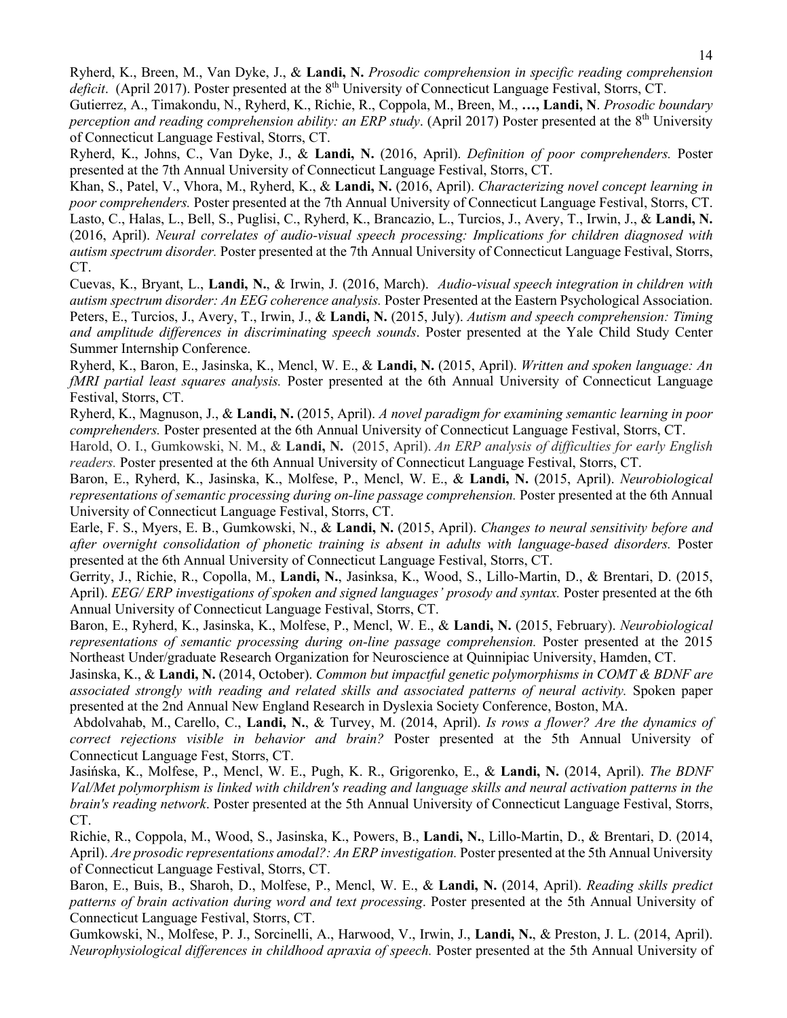Ryherd, K., Breen, M., Van Dyke, J., & **Landi, N.** *Prosodic comprehension in specific reading comprehension deficit.* (April 2017). Poster presented at the 8<sup>th</sup> University of Connecticut Language Festival, Storrs, CT.

Gutierrez, A., Timakondu, N., Ryherd, K., Richie, R., Coppola, M., Breen, M., **…, Landi, N**. *Prosodic boundary perception and reading comprehension ability: an ERP study.* (April 2017) Poster presented at the 8<sup>th</sup> University of Connecticut Language Festival, Storrs, CT.

Ryherd, K., Johns, C., Van Dyke, J., & **Landi, N.** (2016, April). *Definition of poor comprehenders.* Poster presented at the 7th Annual University of Connecticut Language Festival, Storrs, CT.

Khan, S., Patel, V., Vhora, M., Ryherd, K., & **Landi, N.** (2016, April). *Characterizing novel concept learning in poor comprehenders.* Poster presented at the 7th Annual University of Connecticut Language Festival, Storrs, CT. Lasto, C., Halas, L., Bell, S., Puglisi, C., Ryherd, K., Brancazio, L., Turcios, J., Avery, T., Irwin, J., & **Landi, N.** (2016, April). *Neural correlates of audio-visual speech processing: Implications for children diagnosed with autism spectrum disorder.* Poster presented at the 7th Annual University of Connecticut Language Festival, Storrs, CT.

Cuevas, K., Bryant, L., **Landi, N.**, & Irwin, J. (2016, March). *Audio-visual speech integration in children with autism spectrum disorder: An EEG coherence analysis.* Poster Presented at the Eastern Psychological Association. Peters, E., Turcios, J., Avery, T., Irwin, J., & **Landi, N.** (2015, July). *Autism and speech comprehension: Timing and amplitude differences in discriminating speech sounds*. Poster presented at the Yale Child Study Center Summer Internship Conference.

Ryherd, K., Baron, E., Jasinska, K., Mencl, W. E., & **Landi, N.** (2015, April). *Written and spoken language: An fMRI partial least squares analysis.* Poster presented at the 6th Annual University of Connecticut Language Festival, Storrs, CT.

Ryherd, K., Magnuson, J., & **Landi, N.** (2015, April). *A novel paradigm for examining semantic learning in poor comprehenders.* Poster presented at the 6th Annual University of Connecticut Language Festival, Storrs, CT.

Harold, O. I., Gumkowski, N. M., & **Landi, N.** (2015, April). *An ERP analysis of difficulties for early English readers.* Poster presented at the 6th Annual University of Connecticut Language Festival, Storrs, CT.

Baron, E., Ryherd, K., Jasinska, K., Molfese, P., Mencl, W. E., & **Landi, N.** (2015, April). *Neurobiological representations of semantic processing during on-line passage comprehension.* Poster presented at the 6th Annual University of Connecticut Language Festival, Storrs, CT.

Earle, F. S., Myers, E. B., Gumkowski, N., & **Landi, N.** (2015, April). *Changes to neural sensitivity before and after overnight consolidation of phonetic training is absent in adults with language-based disorders.* Poster presented at the 6th Annual University of Connecticut Language Festival, Storrs, CT.

Gerrity, J., Richie, R., Copolla, M., **Landi, N.**, Jasinksa, K., Wood, S., Lillo-Martin, D., & Brentari, D. (2015, April). *EEG/ ERP investigations of spoken and signed languages' prosody and syntax*. Poster presented at the 6th Annual University of Connecticut Language Festival, Storrs, CT.

Baron, E., Ryherd, K., Jasinska, K., Molfese, P., Mencl, W. E., & **Landi, N.** (2015, February). *Neurobiological representations of semantic processing during on-line passage comprehension.* Poster presented at the 2015 Northeast Under/graduate Research Organization for Neuroscience at Quinnipiac University, Hamden, CT.

Jasinska, K., & **Landi, N.** (2014, October). *Common but impactful genetic polymorphisms in COMT & BDNF are associated strongly with reading and related skills and associated patterns of neural activity.* Spoken paper presented at the 2nd Annual New England Research in Dyslexia Society Conference, Boston, MA.

Abdolvahab, M., Carello, C., **Landi, N.**, & Turvey, M. (2014, April). *Is rows a flower? Are the dynamics of correct rejections visible in behavior and brain?* Poster presented at the 5th Annual University of Connecticut Language Fest, Storrs, CT.

Jasińska, K., Molfese, P., Mencl, W. E., Pugh, K. R., Grigorenko, E., & **Landi, N.** (2014, April). *The BDNF Val/Met polymorphism is linked with children's reading and language skills and neural activation patterns in the brain's reading network*. Poster presented at the 5th Annual University of Connecticut Language Festival, Storrs, CT.

Richie, R., Coppola, M., Wood, S., Jasinska, K., Powers, B., **Landi, N.**, Lillo-Martin, D., & Brentari, D. (2014, April). *Are prosodic representations amodal?: An ERP investigation.* Poster presented at the 5th Annual University of Connecticut Language Festival, Storrs, CT.

Baron, E., Buis, B., Sharoh, D., Molfese, P., Mencl, W. E., & **Landi, N.** (2014, April). *Reading skills predict patterns of brain activation during word and text processing*. Poster presented at the 5th Annual University of Connecticut Language Festival, Storrs, CT.

Gumkowski, N., Molfese, P. J., Sorcinelli, A., Harwood, V., Irwin, J., **Landi, N.**, & Preston, J. L. (2014, April). *Neurophysiological differences in childhood apraxia of speech.* Poster presented at the 5th Annual University of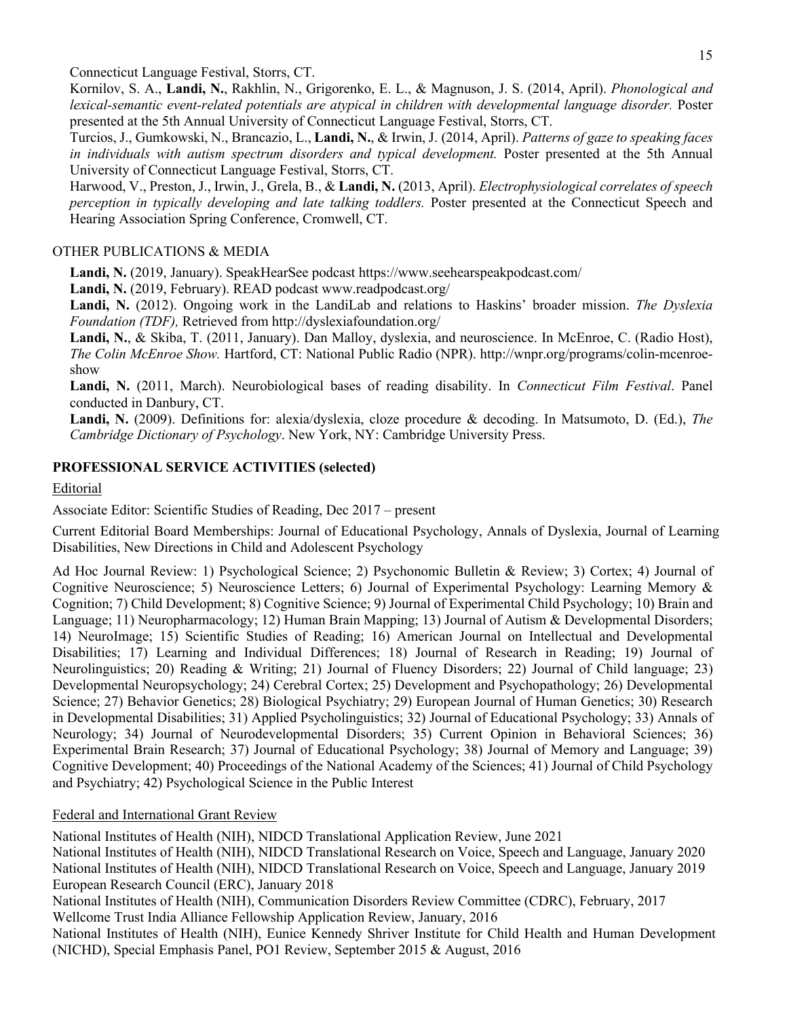Connecticut Language Festival, Storrs, CT.

Kornilov, S. A., **Landi, N.**, Rakhlin, N., Grigorenko, E. L., & Magnuson, J. S. (2014, April). *Phonological and lexical-semantic event-related potentials are atypical in children with developmental language disorder.* Poster presented at the 5th Annual University of Connecticut Language Festival, Storrs, CT.

Turcios, J., Gumkowski, N., Brancazio, L., **Landi, N.**, & Irwin, J. (2014, April). *Patterns of gaze to speaking faces in individuals with autism spectrum disorders and typical development.* Poster presented at the 5th Annual University of Connecticut Language Festival, Storrs, CT.

Harwood, V., Preston, J., Irwin, J., Grela, B., & **Landi, N.** (2013, April). *Electrophysiological correlates of speech perception in typically developing and late talking toddlers.* Poster presented at the Connecticut Speech and Hearing Association Spring Conference, Cromwell, CT.

## OTHER PUBLICATIONS & MEDIA

**Landi, N.** (2019, January). SpeakHearSee podcast https://www.seehearspeakpodcast.com/

Landi, N. (2019, February). READ podcast www.readpodcast.org/

**Landi, N.** (2012). Ongoing work in the LandiLab and relations to Haskins' broader mission. *The Dyslexia Foundation (TDF),* Retrieved from http://dyslexiafoundation.org/

Landi, N., & Skiba, T. (2011, January). Dan Malloy, dyslexia, and neuroscience. In McEnroe, C. (Radio Host), *The Colin McEnroe Show.* Hartford, CT: National Public Radio (NPR). http://wnpr.org/programs/colin-mcenroeshow

**Landi, N.** (2011, March). Neurobiological bases of reading disability. In *Connecticut Film Festival*. Panel conducted in Danbury, CT.

**Landi, N.** (2009). Definitions for: alexia/dyslexia, cloze procedure & decoding. In Matsumoto, D. (Ed.), *The Cambridge Dictionary of Psychology*. New York, NY: Cambridge University Press.

### **PROFESSIONAL SERVICE ACTIVITIES (selected)**

#### Editorial

Associate Editor: Scientific Studies of Reading, Dec 2017 – present

Current Editorial Board Memberships: Journal of Educational Psychology, Annals of Dyslexia, Journal of Learning Disabilities, New Directions in Child and Adolescent Psychology

Ad Hoc Journal Review: 1) Psychological Science; 2) Psychonomic Bulletin & Review; 3) Cortex; 4) Journal of Cognitive Neuroscience; 5) Neuroscience Letters; 6) Journal of Experimental Psychology: Learning Memory & Cognition; 7) Child Development; 8) Cognitive Science; 9) Journal of Experimental Child Psychology; 10) Brain and Language; 11) Neuropharmacology; 12) Human Brain Mapping; 13) Journal of Autism & Developmental Disorders; 14) NeuroImage; 15) Scientific Studies of Reading; 16) American Journal on Intellectual and Developmental Disabilities; 17) Learning and Individual Differences; 18) Journal of Research in Reading; 19) Journal of Neurolinguistics; 20) Reading & Writing; 21) Journal of Fluency Disorders; 22) Journal of Child language; 23) Developmental Neuropsychology; 24) Cerebral Cortex; 25) Development and Psychopathology; 26) Developmental Science; 27) Behavior Genetics; 28) Biological Psychiatry; 29) European Journal of Human Genetics; 30) Research in Developmental Disabilities; 31) Applied Psycholinguistics; 32) Journal of Educational Psychology; 33) Annals of Neurology; 34) Journal of Neurodevelopmental Disorders; 35) Current Opinion in Behavioral Sciences; 36) Experimental Brain Research; 37) Journal of Educational Psychology; 38) Journal of Memory and Language; 39) Cognitive Development; 40) Proceedings of the National Academy of the Sciences; 41) Journal of Child Psychology and Psychiatry; 42) Psychological Science in the Public Interest

#### Federal and International Grant Review

National Institutes of Health (NIH), NIDCD Translational Application Review, June 2021

National Institutes of Health (NIH), NIDCD Translational Research on Voice, Speech and Language, January 2020 National Institutes of Health (NIH), NIDCD Translational Research on Voice, Speech and Language, January 2019 European Research Council (ERC), January 2018

National Institutes of Health (NIH), Communication Disorders Review Committee (CDRC), February, 2017

Wellcome Trust India Alliance Fellowship Application Review, January, 2016

National Institutes of Health (NIH), Eunice Kennedy Shriver Institute for Child Health and Human Development (NICHD), Special Emphasis Panel, PO1 Review, September 2015 & August, 2016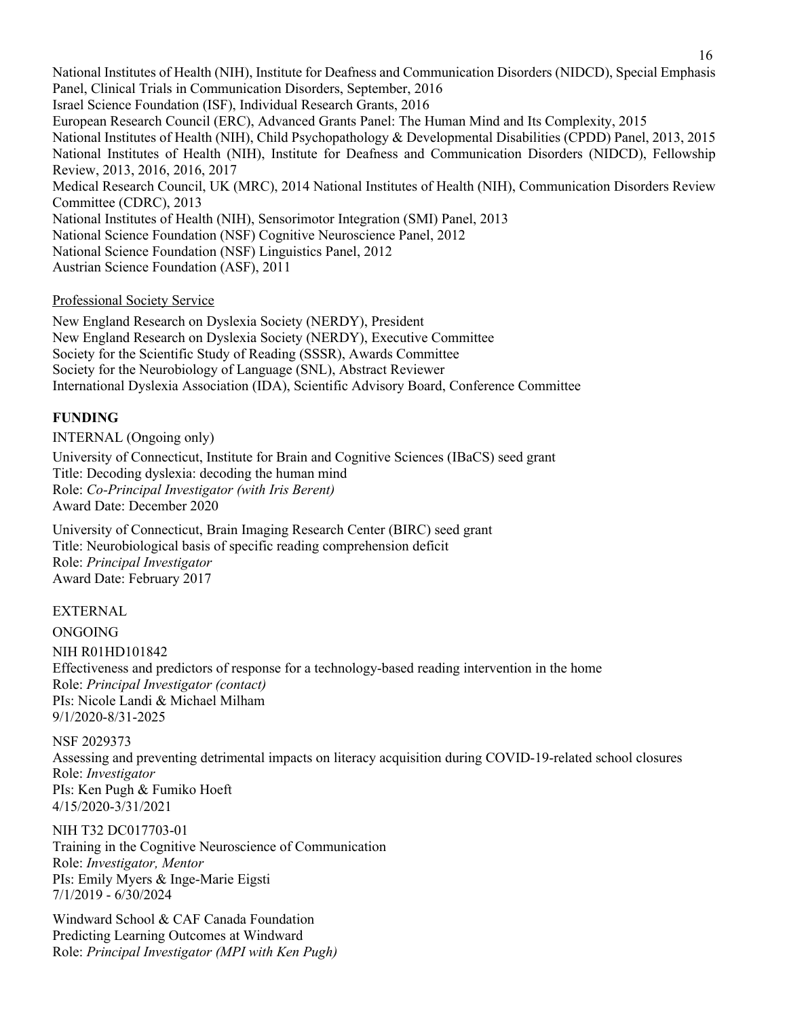National Institutes of Health (NIH), Institute for Deafness and Communication Disorders (NIDCD), Special Emphasis Panel, Clinical Trials in Communication Disorders, September, 2016 Israel Science Foundation (ISF), Individual Research Grants, 2016 European Research Council (ERC), Advanced Grants Panel: The Human Mind and Its Complexity, 2015 National Institutes of Health (NIH), Child Psychopathology & Developmental Disabilities (CPDD) Panel, 2013, 2015 National Institutes of Health (NIH), Institute for Deafness and Communication Disorders (NIDCD), Fellowship Review, 2013, 2016, 2016, 2017 Medical Research Council, UK (MRC), 2014 National Institutes of Health (NIH), Communication Disorders Review Committee (CDRC), 2013 National Institutes of Health (NIH), Sensorimotor Integration (SMI) Panel, 2013 National Science Foundation (NSF) Cognitive Neuroscience Panel, 2012 National Science Foundation (NSF) Linguistics Panel, 2012 Austrian Science Foundation (ASF), 2011

Professional Society Service

New England Research on Dyslexia Society (NERDY), President New England Research on Dyslexia Society (NERDY), Executive Committee Society for the Scientific Study of Reading (SSSR), Awards Committee Society for the Neurobiology of Language (SNL), Abstract Reviewer International Dyslexia Association (IDA), Scientific Advisory Board, Conference Committee

### **FUNDING**

INTERNAL (Ongoing only) University of Connecticut, Institute for Brain and Cognitive Sciences (IBaCS) seed grant Title: Decoding dyslexia: decoding the human mind Role: *Co-Principal Investigator (with Iris Berent)* Award Date: December 2020

University of Connecticut, Brain Imaging Research Center (BIRC) seed grant Title: Neurobiological basis of specific reading comprehension deficit Role: *Principal Investigator* Award Date: February 2017

EXTERNAL

ONGOING

NIH R01HD101842 Effectiveness and predictors of response for a technology-based reading intervention in the home Role: *Principal Investigator (contact)* PIs: Nicole Landi & Michael Milham 9/1/2020-8/31-2025

NSF 2029373

Assessing and preventing detrimental impacts on literacy acquisition during COVID-19-related school closures Role: *Investigator* PIs: Ken Pugh & Fumiko Hoeft 4/15/2020-3/31/2021

NIH T32 DC017703-01 Training in the Cognitive Neuroscience of Communication Role: *Investigator, Mentor* PIs: Emily Myers & Inge-Marie Eigsti 7/1/2019 - 6/30/2024

Windward School & CAF Canada Foundation Predicting Learning Outcomes at Windward Role: *Principal Investigator (MPI with Ken Pugh)*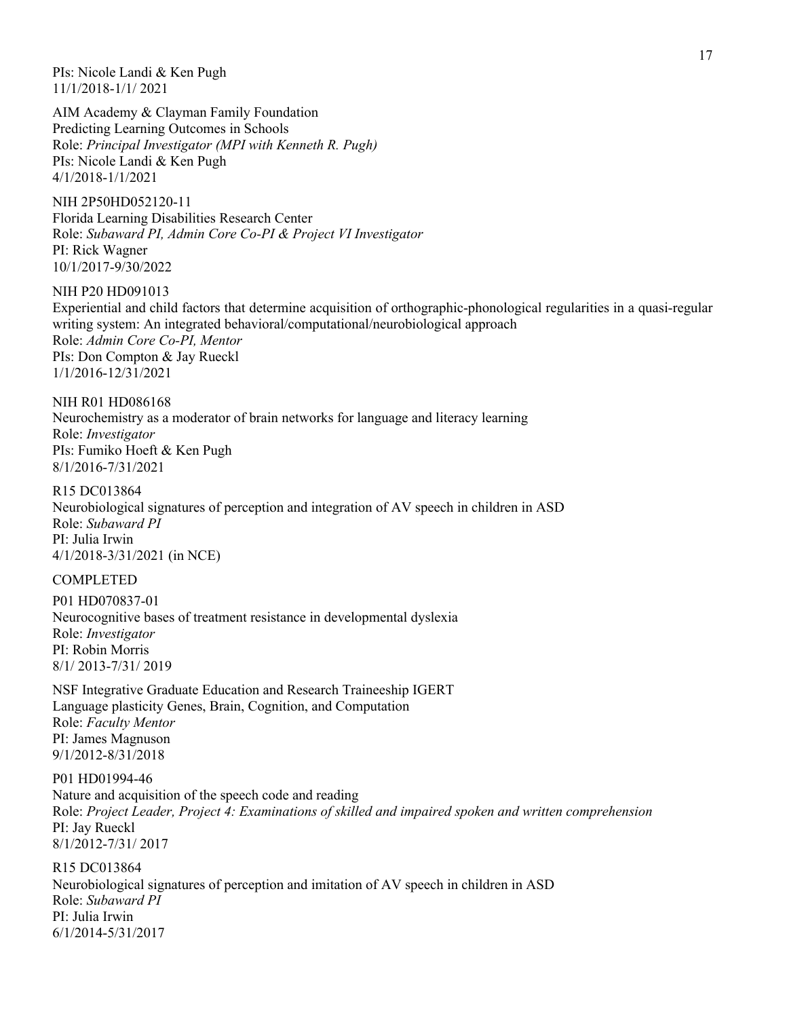PIs: Nicole Landi & Ken Pugh 11/1/2018-1/1/ 2021

AIM Academy & Clayman Family Foundation Predicting Learning Outcomes in Schools Role: *Principal Investigator (MPI with Kenneth R. Pugh)* PIs: Nicole Landi & Ken Pugh 4/1/2018-1/1/2021

NIH 2P50HD052120-11 Florida Learning Disabilities Research Center Role: *Subaward PI, Admin Core Co-PI & Project VI Investigator* PI: Rick Wagner 10/1/2017-9/30/2022

NIH P20 HD091013 Experiential and child factors that determine acquisition of orthographic-phonological regularities in a quasi-regular writing system: An integrated behavioral/computational/neurobiological approach Role: *Admin Core Co-PI, Mentor* PIs: Don Compton & Jay Rueckl 1/1/2016-12/31/2021

NIH R01 HD086168 Neurochemistry as a moderator of brain networks for language and literacy learning Role: *Investigator*  PIs: Fumiko Hoeft & Ken Pugh 8/1/2016-7/31/2021

R15 DC013864 Neurobiological signatures of perception and integration of AV speech in children in ASD Role: *Subaward PI* PI: Julia Irwin 4/1/2018-3/31/2021 (in NCE)

### COMPLETED

P01 HD070837-01 Neurocognitive bases of treatment resistance in developmental dyslexia Role: *Investigator* PI: Robin Morris 8/1/ 2013-7/31/ 2019

NSF Integrative Graduate Education and Research Traineeship IGERT Language plasticity Genes, Brain, Cognition, and Computation Role: *Faculty Mentor* PI: James Magnuson 9/1/2012-8/31/2018

P01 HD01994-46 Nature and acquisition of the speech code and reading Role: *Project Leader, Project 4: Examinations of skilled and impaired spoken and written comprehension* PI: Jay Rueckl 8/1/2012-7/31/ 2017

R15 DC013864 Neurobiological signatures of perception and imitation of AV speech in children in ASD Role: *Subaward PI* PI: Julia Irwin 6/1/2014-5/31/2017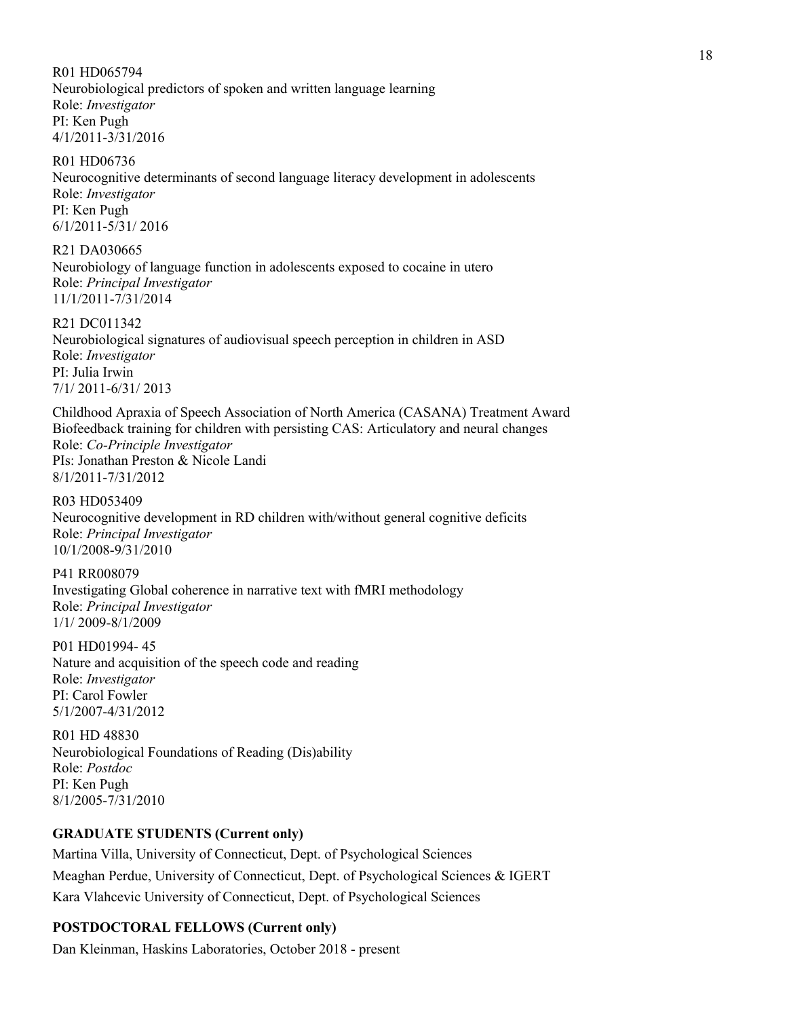R01 HD065794

Neurobiological predictors of spoken and written language learning Role: *Investigator* PI: Ken Pugh 4/1/2011-3/31/2016

R01 HD06736 Neurocognitive determinants of second language literacy development in adolescents Role: *Investigator* PI: Ken Pugh 6/1/2011-5/31/ 2016

R21 DA030665 Neurobiology of language function in adolescents exposed to cocaine in utero Role: *Principal Investigator* 11/1/2011-7/31/2014

R21 DC011342 Neurobiological signatures of audiovisual speech perception in children in ASD Role: *Investigator* PI: Julia Irwin 7/1/ 2011-6/31/ 2013

Childhood Apraxia of Speech Association of North America (CASANA) Treatment Award Biofeedback training for children with persisting CAS: Articulatory and neural changes Role: *Co-Principle Investigator* PIs: Jonathan Preston & Nicole Landi 8/1/2011-7/31/2012

R03 HD053409 Neurocognitive development in RD children with/without general cognitive deficits Role: *Principal Investigator* 10/1/2008-9/31/2010

P41 RR008079 Investigating Global coherence in narrative text with fMRI methodology Role: *Principal Investigator* 1/1/ 2009-8/1/2009

P01 HD01994- 45 Nature and acquisition of the speech code and reading Role: *Investigator* PI: Carol Fowler 5/1/2007-4/31/2012

R01 HD 48830 Neurobiological Foundations of Reading (Dis)ability Role: *Postdoc*  PI: Ken Pugh 8/1/2005-7/31/2010

### **GRADUATE STUDENTS (Current only)**

Martina Villa, University of Connecticut, Dept. of Psychological Sciences Meaghan Perdue, University of Connecticut, Dept. of Psychological Sciences & IGERT Kara Vlahcevic University of Connecticut, Dept. of Psychological Sciences

# **POSTDOCTORAL FELLOWS (Current only)**

Dan Kleinman, Haskins Laboratories, October 2018 - present